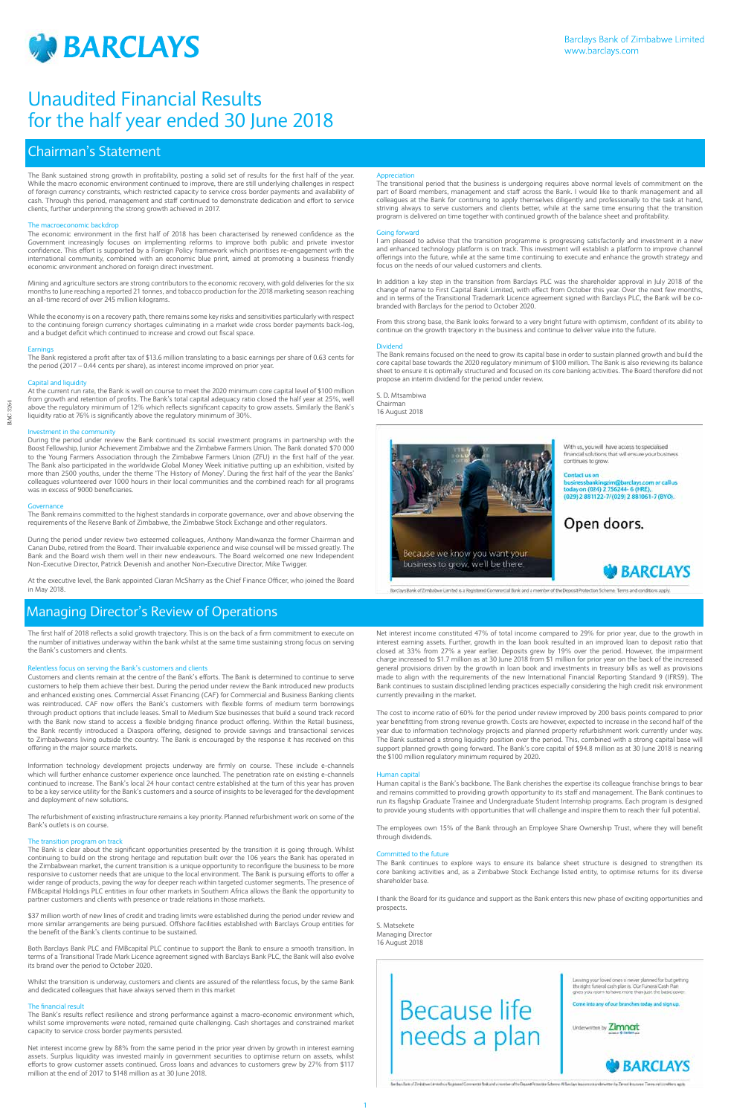

1



BAC 3264

3264 BAC

## Chairman's Statement

The first half of 2018 reflects a solid growth trajectory. This is on the back of a firm commitment to execute on the number of initiatives underway within the bank whilst at the same time sustaining strong focus on serving the Bank's customers and clients.

## Relentless focus on serving the Bank's customers and clients

Customers and clients remain at the centre of the Bank's efforts. The Bank is determined to continue to serve customers to help them achieve their best. During the period under review the Bank introduced new products and enhanced existing ones. Commercial Asset Financing (CAF) for Commercial and Business Banking clients was reintroduced. CAF now offers the Bank's customers with flexible forms of medium term borrowings through product options that include leases. Small to Medium Size businesses that build a sound track record with the Bank now stand to access a flexible bridging finance product offering. Within the Retail business, the Bank recently introduced a Diaspora offering, designed to provide savings and transactional services to Zimbabweans living outside the country. The Bank is encouraged by the response it has received on this offering in the major source markets.

Information technology development projects underway are firmly on course. These include e-channels which will further enhance customer experience once launched. The penetration rate on existing e-channels continued to increase. The Bank's local 24 hour contact centre established at the turn of this year has proven to be a key service utility for the Bank's customers and a source of insights to be leveraged for the development and deployment of new solutions.

The refurbishment of existing infrastructure remains a key priority. Planned refurbishment work on some of the Bank's outlets is on course.

## The transition program on track

The Bank is clear about the significant opportunities presented by the transition it is going through. Whilst continuing to build on the strong heritage and reputation built over the 106 years the Bank has operated in the Zimbabwean market, the current transition is a unique opportunity to reconfigure the business to be more responsive to customer needs that are unique to the local environment. The Bank is pursuing efforts to offer a wider range of products, paving the way for deeper reach within targeted customer segments. The presence of FMBcapital Holdings PLC entities in four other markets in Southern Africa allows the Bank the opportunity to partner customers and clients with presence or trade relations in those markets.

\$37 million worth of new lines of credit and trading limits were established during the period under review and more similar arrangements are being pursued. Offshore facilities established with Barclays Group entities for the benefit of the Bank's clients continue to be sustained.

Both Barclays Bank PLC and FMBcapital PLC continue to support the Bank to ensure a smooth transition. In terms of a Transitional Trade Mark Licence agreement signed with Barclays Bank PLC, the Bank will also evolve its brand over the period to October 2020.

Whilst the transition is underway, customers and clients are assured of the relentless focus, by the same Bank and dedicated colleagues that have always served them in this market

## The financial result

The Bank's results reflect resilience and strong performance against a macro-economic environment which, whilst some improvements were noted, remained quite challenging. Cash shortages and constrained market capacity to service cross border payments persisted.

Net interest income grew by 88% from the same period in the prior year driven by growth in interest earning assets. Surplus liquidity was invested mainly in government securities to optimise return on assets, whilst efforts to grow customer assets continued. Gross loans and advances to customers grew by 27% from \$117 million at the end of 2017 to \$148 million as at 30 June 2018.

Net interest income constituted 47% of total income compared to 29% for prior year, due to the growth in interest earning assets. Further, growth in the loan book resulted in an improved loan to deposit ratio that closed at 33% from 27% a year earlier. Deposits grew by 19% over the period. However, the impairment charge increased to \$1.7 million as at 30 June 2018 from \$1 million for prior year on the back of the increased general provisions driven by the growth in loan book and investments in treasury bills as well as provisions made to align with the requirements of the new International Financial Reporting Standard 9 (IFRS9). The Bank continues to sustain disciplined lending practices especially considering the high credit risk environment currently prevailing in the market.

The cost to income ratio of 60% for the period under review improved by 200 basis points compared to prior year benefitting from strong revenue growth. Costs are however, expected to increase in the second half of the year due to information technology projects and planned property refurbishment work currently under way. The Bank sustained a strong liquidity position over the period. This, combined with a strong capital base will support planned growth going forward. The Bank's core capital of \$94.8 million as at 30 June 2018 is nearing the \$100 million regulatory minimum required by 2020.

## Human capital

Human capital is the Bank's backbone. The Bank cherishes the expertise its colleague franchise brings to bear and remains committed to providing growth opportunity to its staff and management. The Bank continues to run its flagship Graduate Trainee and Undergraduate Student Internship programs. Each program is designed to provide young students with opportunities that will challenge and inspire them to reach their full potential.

The employees own 15% of the Bank through an Employee Share Ownership Trust, where they will benefit through dividends.

## Committed to the future

The Bank continues to explore ways to ensure its balance sheet structure is designed to strengthen its core banking activities and, as a Zimbabwe Stock Exchange listed entity, to optimise returns for its diverse shareholder base.

I thank the Board for its guidance and support as the Bank enters this new phase of exciting opportunities and prospects.

S. Matsekete Managing Director 16 August 2018

## Managing Director's Review of Operations

The Bank sustained strong growth in profitability, posting a solid set of results for the first half of the year. While the macro economic environment continued to improve, there are still underlying challenges in respect of foreign currency constraints, which restricted capacity to service cross border payments and availability of cash. Through this period, management and staff continued to demonstrate dedication and effort to service clients, further underpinning the strong growth achieved in 2017.

## The macroeconomic backdrop

The economic environment in the first half of 2018 has been characterised by renewed confidence as the Government increasingly focuses on implementing reforms to improve both public and private investor confidence. This effort is supported by a Foreign Policy framework which prioritises re-engagement with the international community, combined with an economic blue print, aimed at promoting a business friendly economic environment anchored on foreign direct investment.

Mining and agriculture sectors are strong contributors to the economic recovery, with gold deliveries for the six months to June reaching a reported 21 tonnes, and tobacco production for the 2018 marketing season reaching an all-time record of over 245 million kilograms.

While the economy is on a recovery path, there remains some key risks and sensitivities particularly with respect to the continuing foreign currency shortages culminating in a market wide cross border payments back-log, and a budget deficit which continued to increase and crowd out fiscal space.

## **Earnings**

The Bank registered a profit after tax of \$13.6 million translating to a basic earnings per share of 0.63 cents for the period (2017 – 0.44 cents per share), as interest income improved on prior year.

## Capital and liquidity

At the current run rate, the Bank is well on course to meet the 2020 minimum core capital level of \$100 million from growth and retention of profits. The Bank's total capital adequacy ratio closed the half year at 25%, well above the regulatory minimum of 12% which reflects significant capacity to grow assets. Similarly the Bank's liquidity ratio at 76% is significantly above the regulatory minimum of 30%.

### Investment in the community

During the period under review the Bank continued its social investment programs in partnership with the Boost Fellowship, Junior Achievement Zimbabwe and the Zimbabwe Farmers Union. The Bank donated \$70 000 to the Young Farmers Association through the Zimbabwe Farmers Union (ZFU) in the first half of the year. The Bank also participated in the worldwide Global Money Week initiative putting up an exhibition, visited by more than 2500 youths, under the theme 'The History of Money'. During the first half of the year the Banks' colleagues volunteered over 1000 hours in their local communities and the combined reach for all programs was in excess of 9000 beneficiaries.

## Governance

The Bank remains committed to the highest standards in corporate governance, over and above observing the requirements of the Reserve Bank of Zimbabwe, the Zimbabwe Stock Exchange and other regulators.

During the period under review two esteemed colleagues, Anthony Mandiwanza the former Chairman and Canan Dube, retired from the Board. Their invaluable experience and wise counsel will be missed greatly. The Bank and the Board wish them well in their new endeavours. The Board welcomed one new Independent Non-Executive Director, Patrick Devenish and another Non-Executive Director, Mike Twigger.

At the executive level, the Bank appointed Ciaran McSharry as the Chief Finance Officer, who joined the Board in May 2018.

## Appreciation

The transitional period that the business is undergoing requires above normal levels of commitment on the part of Board members, management and staff across the Bank. I would like to thank management and all colleagues at the Bank for continuing to apply themselves diligently and professionally to the task at hand, striving always to serve customers and clients better, while at the same time ensuring that the transition program is delivered on time together with continued growth of the balance sheet and profitability.

### Going forward

I am pleased to advise that the transition programme is progressing satisfactorily and investment in a new and enhanced technology platform is on track. This investment will establish a platform to improve channel offerings into the future, while at the same time continuing to execute and enhance the growth strategy and focus on the needs of our valued customers and clients.

In addition a key step in the transition from Barclays PLC was the shareholder approval in July 2018 of the change of name to First Capital Bank Limited, with effect from October this year. Over the next few months, and in terms of the Transitional Trademark Licence agreement signed with Barclays PLC, the Bank will be cobranded with Barclays for the period to October 2020.

From this strong base, the Bank looks forward to a very bright future with optimism, confident of its ability to continue on the growth trajectory in the business and continue to deliver value into the future.

### Dividend

The Bank remains focused on the need to grow its capital base in order to sustain planned growth and build the core capital base towards the 2020 regulatory minimum of \$100 million. The Bank is also reviewing its balance sheet to ensure it is optimally structured and focused on its core banking activities. The Board therefore did not propose an interim dividend for the period under review.

S. D. Mtsambiwa Chairman 16 August 2018



With us, you will have access to specialised financial solutions that will ensure your business continues to grow.

barclays.com or call us today on (024) 2 756244- 6 (HRE),<br>(029) 2 881122-7/(029) 2 881061-7 (BYO).

Open doors.



Barclays Bank of Zimbabwe Limited is a Registered Commercial Bank and a member of the Deposit Protection Scheme. Terms and conditions apply.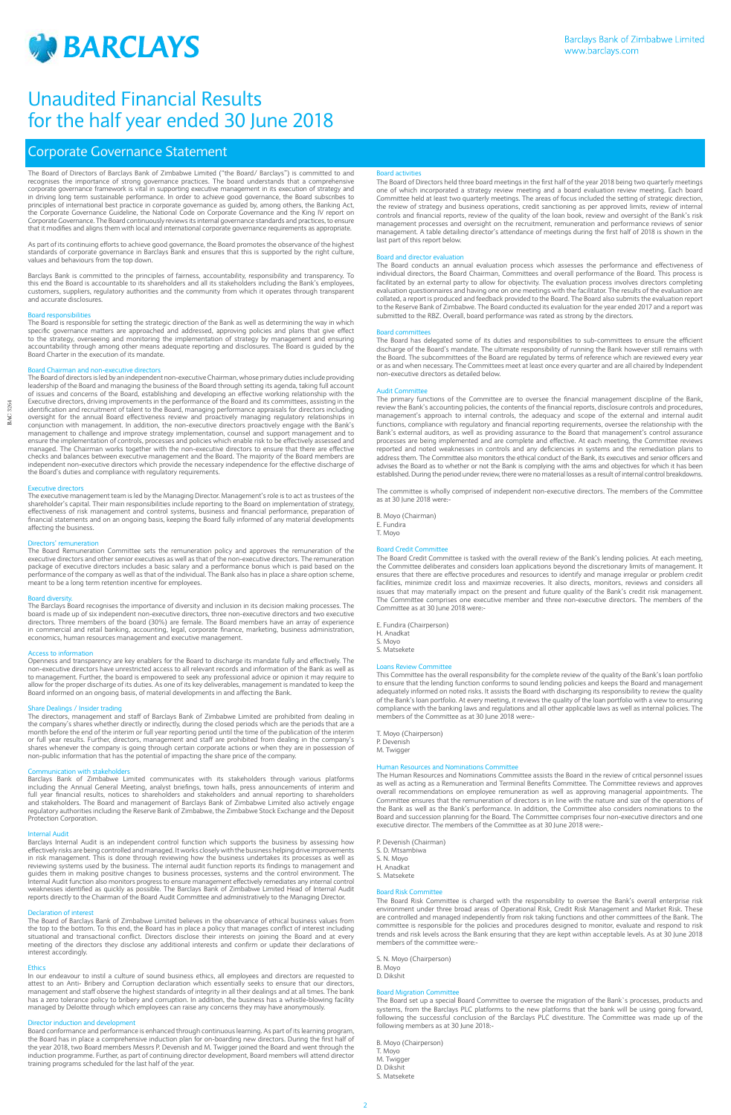

## Corporate Governance Statement

The Board of Directors of Barclays Bank of Zimbabwe Limited ("the Board/ Barclays") is committed to and recognises the importance of strong governance practices. The board understands that a comprehensive corporate governance framework is vital in supporting executive management in its execution of strategy and in driving long term sustainable performance. In order to achieve good governance, the Board subscribes to principles of international best practice in corporate governance as guided by, among others, the Banking Act, the Corporate Governance Guideline, the National Code on Corporate Governance and the King IV report on Corporate Governance. The Board continuously reviews its internal governance standards and practices, to ensure that it modifies and aligns them with local and international corporate governance requirements as appropriate.

As part of its continuing efforts to achieve good governance, the Board promotes the observance of the highest standards of corporate governance in Barclays Bank and ensures that this is supported by the right culture, values and behaviours from the top down.

Barclays Bank is committed to the principles of fairness, accountability, responsibility and transparency. To this end the Board is accountable to its shareholders and all its stakeholders including the Bank's employees, customers, suppliers, regulatory authorities and the community from which it operates through transparent and accurate disclosures.

## **Board responsibilitie**

The Board is responsible for setting the strategic direction of the Bank as well as determining the way in which specific governance matters are approached and addressed, approving policies and plans that give effect to the strategy, overseeing and monitoring the implementation of strategy by management and ensuring accountability through among other means adequate reporting and disclosures. The Board is guided by the Board Charter in the execution of its mandate.

## Board Chairman and non-executive directors

The Board of directors is led by an independent non-executive Chairman, whose primary duties include providing leadership of the Board and managing the business of the Board through setting its agenda, taking full account of issues and concerns of the Board, establishing and developing an effective working relationship with the Executive directors, driving improvements in the performance of the Board and its committees, assisting in the identification and recruitment of talent to the Board, managing performance appraisals for directors including oversight for the annual Board effectiveness review and proactively managing regulatory relationships in conjunction with management. In addition, the non-executive directors proactively engage with the Bank's management to challenge and improve strategy implementation, counsel and support management and to ensure the implementation of controls, processes and policies which enable risk to be effectively assessed and managed. The Chairman works together with the non-executive directors to ensure that there are effective checks and balances between executive management and the Board. The majority of the Board members are independent non-executive directors which provide the necessary independence for the effective discharge of the Board's duties and compliance with regulatory requirements.

## Executive directors

The executive management team is led by the Managing Director. Management's role is to act as trustees of the shareholder's capital. Their main responsibilities include reporting to the Board on implementation of strategy, effectiveness of risk management and control systems, business and financial performance, preparation of financial statements and on an ongoing basis, keeping the Board fully informed of any material developments affecting the business.

## Directors' remuneration

The Board Remuneration Committee sets the remuneration policy and approves the remuneration of the executive directors and other senior executives as well as that of the non-executive directors. The remuneration package of executive directors includes a basic salary and a performance bonus which is paid based on the performance of the company as well as that of the individual. The Bank also has in place a share option scheme, meant to be a long term retention incentive for employees.

## **Board diver**

The Barclays Board recognises the importance of diversity and inclusion in its decision making processes. The board is made up of six independent non-executive directors, three non-executive directors and two executive directors. Three members of the board (30%) are female. The Board members have an array of experience in commercial and retail banking, accounting, legal, corporate finance, marketing, business administration, economics, human resources management and executive management.

## Access to information

Openness and transparency are key enablers for the Board to discharge its mandate fully and effectively. The non-executive directors have unrestricted access to all relevant records and information of the Bank as well as to management. Further, the board is empowered to seek any professional advice or opinion it may require to allow for the proper discharge of its duties. As one of its key deliverables, management is mandated to keep the Board informed on an ongoing basis, of material developments in and affecting the Bank.

## Share Dealings / Insider trading

The directors, management and staff of Barclays Bank of Zimbabwe Limited are prohibited from dealing in the company's shares whether directly or indirectly, during the closed periods which are the periods that are a month before the end of the interim or full year reporting period until the time of the publication of the interim or full year results. Further, directors, management and staff are prohibited from dealing in the company's shares whenever the company is going through certain corporate actions or when they are in possession of non-public information that has the potential of impacting the share price of the company.

## unication with stakeholders

The committee is wholly comprised of independent non-executive directors. The members of the Committee as at 30 June 2018 were

Barclays Bank of Zimbabwe Limited communicates with its stakeholders through various platforms including the Annual General Meeting, analyst briefings, town halls, press announcements of interim and full year financial results, notices to shareholders and stakeholders and annual reporting to shareholders and stakeholders. The Board and management of Barclays Bank of Zimbabwe Limited also actively engage regulatory authorities including the Reserve Bank of Zimbabwe, the Zimbabwe Stock Exchange and the Deposit Protection Corporation.

## Internal Audit

The Human Resources and Nominations Committee assists the Board in the review of critical personnel issues as well as acting as a Remuneration and Terminal Benefits Committee. The Committee reviews and approves overall recommendations on employee remuneration as well as approving managerial appointments. The Committee ensures that the remuneration of directors is in line with the nature and size of the operations of the Bank as well as the Bank's performance. In addition, the Committee also considers nominations to the Board and succession planning for the Board. The Committee comprises four non-executive directors and one executive director. The members of the Committee as at 30 June 2018 were:

Barclays Internal Audit is an independent control function which supports the business by assessing how effectively risks are being controlled and managed. It works closely with the business helping drive improvements in risk management. This is done through reviewing how the business undertakes its processes as well as reviewing systems used by the business. The internal audit function reports its findings to management and guides them in making positive changes to business processes, systems and the control environment. The Internal Audit function also monitors progress to ensure management effectively remediates any internal control weaknesses identified as quickly as possible. The Barclays Bank of Zimbabwe Limited Head of Internal Audit reports directly to the Chairman of the Board Audit Committee and administratively to the Managing Director.

## **Board activitie**

The Board Risk Committee is charged with the responsibility to oversee the Bank's overall enterprise risk environment under three broad areas of Operational Risk, Credit Risk Management and Market Risk. These are controlled and managed independently from risk taking functions and other committees of the Bank. The committee is responsible for the policies and procedures designed to monitor, evaluate and respond to risk trends and risk levels across the Bank ensuring that they are kept within acceptable levels. As at 30 June 2018 members of the committee were:

### Declaration of interest

The Board of Barclays Bank of Zimbabwe Limited believes in the observance of ethical business values from the top to the bottom. To this end, the Board has in place a policy that manages conflict of interest including situational and transactional conflict. Directors disclose their interests on joining the Board and at every meeting of the directors they disclose any additional interests and confirm or update their declarations of interest accordingly.

## Ethics

In our endeavour to instil a culture of sound business ethics, all employees and directors are requested to attest to an Anti- Bribery and Corruption declaration which essentially seeks to ensure that our directors, management and staff observe the highest standards of integrity in all their dealings and at all times. The bank has a zero tolerance policy to bribery and corruption. In addition, the business has a whistle-blowing facility managed by Deloitte through which employees can raise any concerns they may have anonymously.

## Director induction and development

Board conformance and performance is enhanced through continuous learning. As part of its learning program, the Board has in place a comprehensive induction plan for on-boarding new directors. During the first half of the year 2018, two Board members Messrs P. Devenish and M. Twigger joined the Board and went through the induction programme. Further, as part of continuing director development, Board members will attend director training programs scheduled for the last half of the year.

The Board of Directors held three board meetings in the first half of the year 2018 being two quarterly meetings one of which incorporated a strategy review meeting and a board evaluation review meeting. Each board Committee held at least two quarterly meetings. The areas of focus included the setting of strategic direction, the review of strategy and business operations, credit sanctioning as per approved limits, review of internal controls and financial reports, review of the quality of the loan book, review and oversight of the Bank's risk management processes and oversight on the recruitment, remuneration and performance reviews of senior management. A table detailing director's attendance of meetings during the first half of 2018 is shown in the last part of this report below.

## Board and director evaluation

The Board conducts an annual evaluation process which assesses the performance and effectiveness of individual directors, the Board Chairman, Committees and overall performance of the Board. This process is facilitated by an external party to allow for objectivity. The evaluation process involves directors completing evaluation questionnaires and having one on one meetings with the facilitator. The results of the evaluation are collated, a report is produced and feedback provided to the Board. The Board also submits the evaluation report to the Reserve Bank of Zimbabwe. The Board conducted its evaluation for the year ended 2017 and a report was submitted to the RBZ. Overall, board performance was rated as strong by the directors.

## **Board committees**

The Board has delegated some of its duties and responsibilities to sub-committees to ensure the efficient discharge of the Board's mandate. The ultimate responsibility of running the Bank however still remains with the Board. The subcommittees of the Board are regulated by terms of reference which are reviewed every year or as and when necessary. The Committees meet at least once every quarter and are all chaired by Independent non-executive directors as detailed below.

## Audit Committee

The primary functions of the Committee are to oversee the financial management discipline of the Bank, review the Bank's accounting policies, the contents of the financial reports, disclosure controls and procedures, management's approach to internal controls, the adequacy and scope of the external and internal audit functions, compliance with regulatory and financial reporting requirements, oversee the relationship with the Bank's external auditors, as well as providing assurance to the Board that management's control assurance processes are being implemented and are complete and effective. At each meeting, the Committee reviews reported and noted weaknesses in controls and any deficiencies in systems and the remediation plans to address them. The Committee also monitors the ethical conduct of the Bank, its executives and senior officers and advises the Board as to whether or not the Bank is complying with the aims and objectives for which it has been established. During the period under review, there were no material losses as a result of internal control breakdowns.

B. Moyo (Chairman) E. Fundira

T. Moyo

## Board Credit Committee

The Board Credit Committee is tasked with the overall review of the Bank's lending policies. At each meeting, the Committee deliberates and considers loan applications beyond the discretionary limits of management. It ensures that there are effective procedures and resources to identify and manage irregular or problem credit facilities, minimize credit loss and maximize recoveries. It also directs, monitors, reviews and considers all issues that may materially impact on the present and future quality of the Bank's credit risk management. The Committee comprises one executive member and three non-executive directors. The members of the Committee as at 30 June 2018 were:-

| E. Fundira (Chairperson) |
|--------------------------|
| H. Anadkat               |
| S. Moyo                  |
| S. Matsekete             |

## Loans Review Committee

This Committee has the overall responsibility for the complete review of the quality of the Bank's loan portfolio to ensure that the lending function conforms to sound lending policies and keeps the Board and management adequately informed on noted risks. It assists the Board with discharging its responsibility to review the quality of the Bank's loan portfolio. At every meeting, it reviews the quality of the loan portfolio with a view to ensuring compliance with the banking laws and regulations and all other applicable laws as well as internal policies. The members of the Committee as at 30 June 2018 were:-

T. Moyo (Chairperson) P. Devenish

M. Twigger

## Human Resources and Nominations Committee

P. Devenish (Chairman)

S. D. Mtsambiwa S. N. Moyo

H. Anadkat

S. Matsekete

## Board Risk Committee

S. N. Moyo (Chairperson) B. Moyo D. Dikshit

## Board Migration Committee

The Board set up a special Board Committee to oversee the migration of the Bank`s processes, products and systems, from the Barclays PLC platforms to the new platforms that the bank will be using going forward, following the successful conclusion of the Barclays PLC divestiture. The Committee was made up of the following members as at 30 June 2018:-

B. Moyo (Chairperson) T. Moyo M. Twigger D. Dikshit S. Matsekete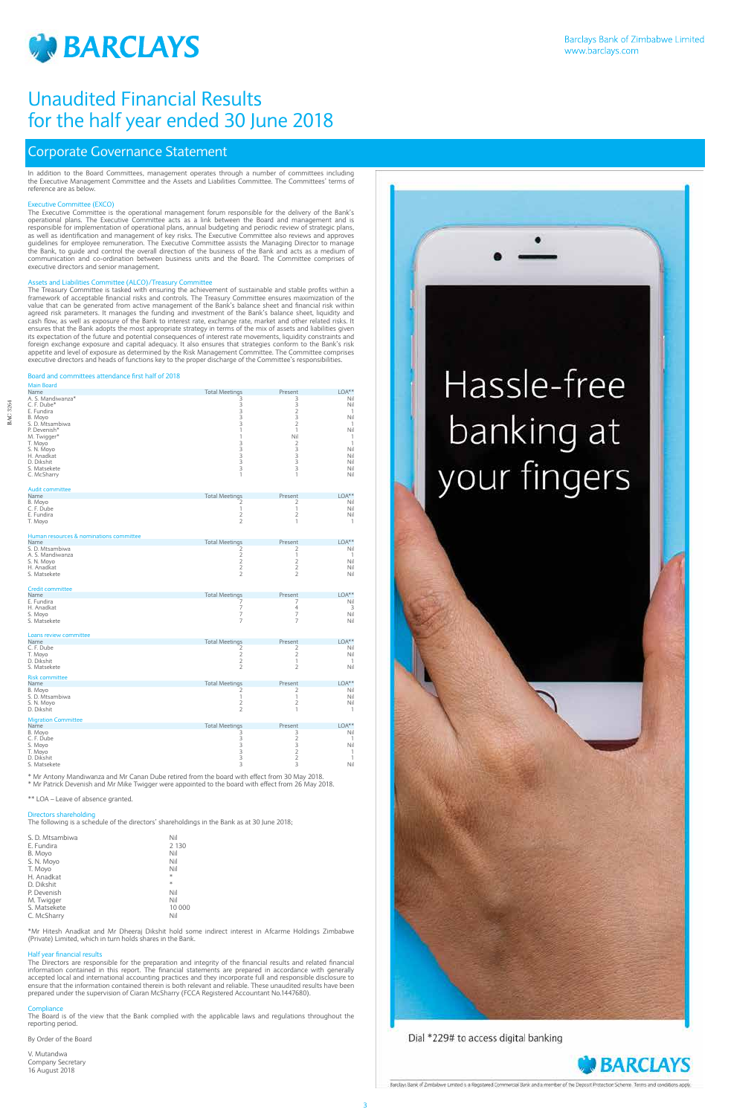

BAC 3264

BAC 3264

In addition to the Board Committees, management operates through a number of committees including the Executive Management Committee and the Assets and Liabilities Committee. The Committees' terms of reference are as below.

## Executive Committee (EXCO)

The Executive Committee is the operational management forum responsible for the delivery of the Bank's operational plans. The Executive Committee acts as a link between the Board and management and is responsible for implementation of operational plans, annual budgeting and periodic review of strategic plans, as well as identification and management of key risks. The Executive Committee also reviews and approves guidelines for employee remuneration. The Executive Committee assists the Managing Director to manage the Bank, to guide and control the overall direction of the business of the Bank and acts as a medium of communication and co-ordination between business units and the Board. The Committee comprises of executive directors and senior management.

## Assets and Liabilities Committee (ALCO)/Treasury Committee

The Treasury Committee is tasked with ensuring the achievement of sustainable and stable profits within a framework of acceptable financial risks and controls. The Treasury Committee ensures maximization of the value that can be generated from active management of the Bank's balance sheet and financial risk within agreed risk parameters. It manages the funding and investment of the Bank's balance sheet, liquidity and cash flow, as well as exposure of the Bank to interest rate, exchange rate, market and other related risks. It ensures that the Bank adopts the most appropriate strategy in terms of the mix of assets and liabilities given its expectation of the future and potential consequences of interest rate movements, liquidity constraints and foreign exchange exposure and capital adequacy. It also ensures that strategies conform to the Bank's risk appetite and level of exposure as determined by the Risk Management Committee. The Committee comprises executive directors and heads of functions key to the proper discharge of the Committee's responsibilities.

## Board and committees attendance first half of 2018

| <b>Main Board</b><br>Name                                 | <b>Total Meetings</b>                                 | Present                                  | $LOA***$                            |
|-----------------------------------------------------------|-------------------------------------------------------|------------------------------------------|-------------------------------------|
| A. S. Mandiwanza*<br>C. F. Dube*<br>E. Fundira<br>B. Movo | 3<br>3<br>3<br>3                                      | 3<br>3<br>$\overline{2}$<br>3            | Nil<br>Nil<br>$\mathbf{1}$<br>Nil   |
| S. D. Mtsambiwa<br>P. Devenish*<br>M. Twigger*            | 3<br>1<br>$\mathbf{1}$                                | $\overline{2}$<br>$\mathbf{1}$<br>Nil    | $\mathbf{1}$<br>Nil<br>$\mathbf{1}$ |
| T. Moyo<br>S. N. Moyo<br>H. Anadkat                       | 3<br>3<br>$\frac{3}{3}$                               | $\overline{2}$<br>3<br>3                 | $\mathbf{1}$<br>Nil<br>Nil          |
| D. Dikshit<br>S. Matsekete<br>C. McSharry                 | 3<br>$\mathbf{1}$                                     | 3<br>3<br>1                              | Nil<br>Nil<br>Nil                   |
| <b>Audit committee</b><br>Name                            | <b>Total Meetings</b>                                 | Present                                  | $LOA***$                            |
| B. Moyo<br>C. F. Dube<br>E. Fundira<br>T. Moyo            | 2<br>$\mathbf{1}$<br>$\overline{2}$<br>$\overline{2}$ | 2<br>$\mathbf{1}$<br>$\overline{2}$<br>1 | Nil<br>Nil<br>Nil<br>$\mathbf{1}$   |
| Human resources & nominations committee                   |                                                       |                                          |                                     |
| Name<br>S. D. Mtsambiwa                                   | <b>Total Meetings</b><br>$\overline{2}$               | Present<br>2                             | $LOA***$<br>Nil                     |
| A. S. Mandiwanza                                          | $\overline{2}$                                        | $\mathbf{1}$                             | 1                                   |
| S. N. Moyo                                                | $\overline{2}$<br>$\overline{2}$                      | $\overline{2}$<br>$\overline{2}$         | Nil<br>Nil                          |
| H. Anadkat<br>S. Matsekete                                | $\overline{2}$                                        | $\overline{2}$                           | Nil                                 |
| <b>Credit committee</b>                                   |                                                       |                                          |                                     |
| Name<br>E. Fundira                                        | <b>Total Meetings</b><br>7                            | Present<br>7                             | $LOA***$<br>Nil                     |
| H. Anadkat                                                | $\overline{7}$                                        | $\overline{4}$                           | 3                                   |
| S. Movo<br>S. Matsekete                                   | $\overline{7}$<br>$\overline{7}$                      | $\overline{7}$<br>$\overline{7}$         | Nil<br>Nil                          |
| Loans review committee                                    |                                                       |                                          |                                     |
| Name<br>C. F. Dube                                        | <b>Total Meetings</b><br>2                            | Present<br>2                             | $LOA***$<br>Nil                     |
| T. Moyo                                                   | $\overline{2}$                                        | 2                                        | Nil                                 |
| D. Dikshit<br>S. Matsekete                                | $\overline{2}$<br>$\overline{2}$                      | $\mathbf{1}$<br>$\overline{2}$           | $\mathbf{1}$<br>Nil                 |
| <b>Risk committee</b>                                     |                                                       |                                          |                                     |
| Name                                                      | <b>Total Meetings</b>                                 | Present                                  | $LOA***$                            |
| B. Movo                                                   | 2<br>$\mathbf{1}$                                     | 2<br>$\mathbf{1}$                        | Nil                                 |
| S. D. Mtsambiwa<br>S. N. Moyo<br>D. Dikshit               | $\overline{2}$<br>$\overline{2}$                      | $\overline{2}$<br>$\mathbf{1}$           | Nil<br>Nil<br>1                     |
| <b>Migration Committee</b><br>Name                        | <b>Total Meetings</b>                                 | Present                                  | $LOA***$                            |
| B. Moyo                                                   | 3                                                     | 3                                        | Nil                                 |
| C. F. Dube<br>S. Moyo                                     | 3                                                     | $\overline{2}$<br>3                      | $\mathbf{1}$<br>Nil                 |
| T. Moyo                                                   | $\frac{1}{3}$                                         | $\overline{2}$                           | 1                                   |
| D. Dikshit                                                | 3                                                     | $\overline{2}$                           | $\mathbf{1}$                        |

S. Matsekete 3 3 Nil

\* Mr Antony Mandiwanza and Mr Canan Dube retired from the board with effect from 30 May 2018.

\* Mr Patrick Devenish and Mr Mike Twigger were appointed to the board with effect from 26 May 2018.

\*\* LOA – Leave of absence granted.

## Directors shareholding

The following is a schedule of the directors' shareholdings in the Bank as at 30 June 2018;

| Nil     |
|---------|
| 2 1 3 0 |
| Nil     |
| Nil     |
| Nil     |
| *       |
| $*$     |
| Nil     |
| Nil     |
| 10 00   |
| Nil     |
|         |

# Hassle-free banking at your fingers

10 000

\*Mr Hitesh Anadkat and Mr Dheeraj Dikshit hold some indirect interest in Afcarme Holdings Zimbabwe (Private) Limited, which in turn holds shares in the Bank.

## Half year financial results

The Directors are responsible for the preparation and integrity of the financial results and related financial information contained in this report. The financial statements are prepared in accordance with generally accepted local and international accounting practices and they incorporate full and responsible disclosure to ensure that the information contained therein is both relevant and reliable. These unaudited results have been prepared under the supervision of Ciaran McSharry (FCCA Registered Accountant No.1447680).

Compliance The Board is of the view that the Bank complied with the applicable laws and regulations throughout the reporting period.

By Order of the Board

V. Mutandwa Company Secretary 16 August 2018



## Corporate Governance Statement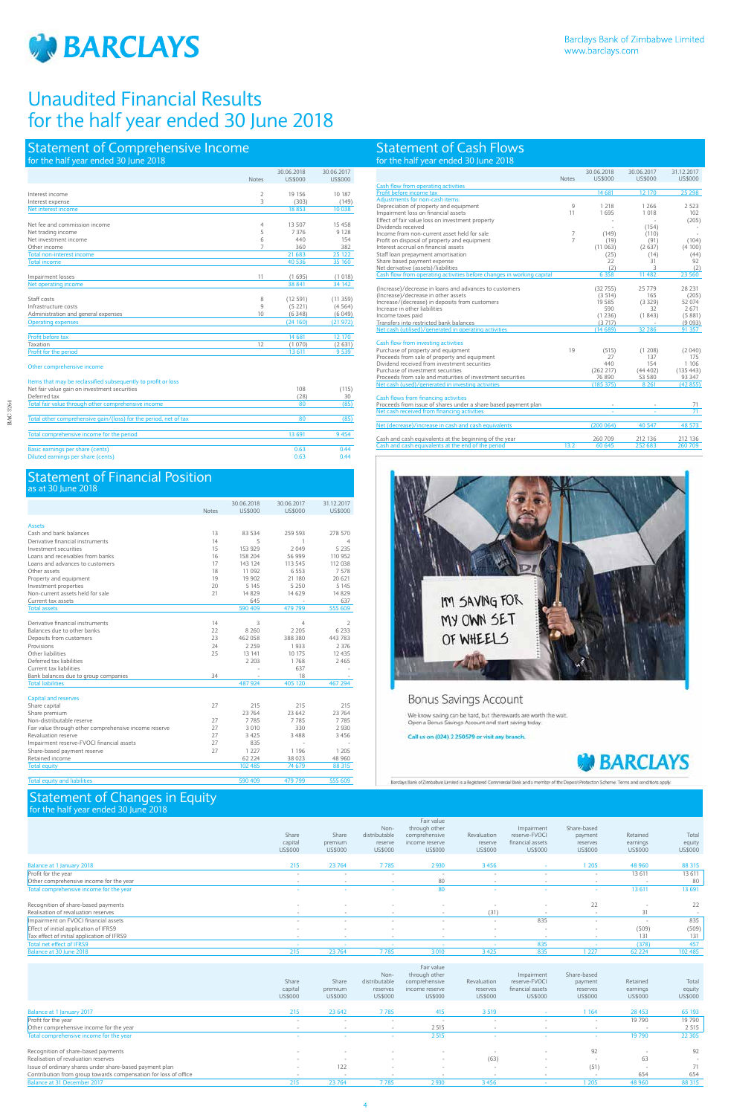

# Statement of Comprehensive Income

## Statement of Cash Flows for the half year ended 30 June 2018

## Statement of Changes in Equity for the half year ended 30 June 2018

## Statement of Financial Position as at 30 June 2018

| for the half year ended 30 June 2018                        |                     |                              |                       |
|-------------------------------------------------------------|---------------------|------------------------------|-----------------------|
|                                                             | <b>Notes</b>        | 30.06.2018<br><b>US\$000</b> | 30.06.2017<br>US\$000 |
| Interest income<br>Interest expense                         | $\overline{2}$<br>3 | 19 15 6<br>(303)             | 10 187<br>(149)       |
| Net interest income                                         |                     | 18853                        | 10 038                |
| Net fee and commission income                               | 4                   | 13 507                       | 15458                 |
| Net trading income<br>Net investment income                 | 5<br>6              | 7 3 7 6<br>440               | 9 1 2 8<br>154        |
| Other income<br><b>Total non-interest income</b>            | 7                   | 360<br>21 683                | 382<br>25 122         |
| <b>Total income</b>                                         |                     | 40 536                       | 35 160                |
| Impairment losses                                           | 11                  | (1695)                       | (1018)                |
| Net operating income                                        |                     | 38 841                       | 34 142                |
| Staff costs                                                 | 8                   | (12591)                      | (11359)               |
| Infrastructure costs<br>Administration and general expenses | 9<br>10             | (5221)<br>(6348)             | (4564)<br>(6 049)     |
| <b>Operating expenses</b>                                   |                     | (24160)                      | (21972)               |
| Profit before tax                                           |                     | 14 681                       | 12 170                |
| Taxation<br>Profit for the period                           | 12                  | (1070)<br>13 611             | (2631)<br>9 5 3 9     |

Other comprehensive income

| Items that may be reclassified subsequently to profit or loss    |        |       |
|------------------------------------------------------------------|--------|-------|
| Net fair value gain on investment securities                     | 108    | (115) |
| Deferred tax                                                     | (28)   | 30    |
| Total fair value through other comprehensive income              | 80     | (85)  |
| Total other comprehensive gain/(loss) for the period, net of tax | 80     | (85)  |
| Total comprehensive income for the period                        | 13 691 | 9454  |
| Basic earnings per share (cents)                                 | 0.63   | 0.44  |
| Diluted earnings per share (cents)                               | 0.63   | 0.44  |

|                                                       |              | 30.06.2018 | 30.06.2017 | 31.12.2017   |
|-------------------------------------------------------|--------------|------------|------------|--------------|
|                                                       | <b>Notes</b> | US\$000    | US\$000    | US\$000      |
|                                                       |              |            |            |              |
| <b>Assets</b><br>Cash and bank balances               | 13           | 83 534     | 259 593    | 278 570      |
| Derivative financial instruments                      | 14           | 5          | 1          |              |
| Investment securities                                 | 15           | 153 929    | 2 0 4 9    | 4<br>5 2 3 5 |
| Loans and receivables from banks                      | 16           |            |            | 110 952      |
|                                                       |              | 158 204    | 56 999     |              |
| Loans and advances to customers                       | 17           | 143 124    | 113 545    | 112 038      |
| Other assets                                          | 18           | 11 092     | 6 5 5 3    | 7578         |
| Property and equipment                                | 19           | 19 902     | 21 180     | 20 621       |
| Investment properties                                 | 20           | 5 1 4 5    | 5 2 5 0    | 5 1 4 5      |
| Non-current assets held for sale                      | 21           | 14 8 29    | 14 6 29    | 14 8 29      |
| Current tax assets                                    |              | 645        |            | 637          |
| <b>Total assets</b>                                   |              | 590 409    | 479 799    | 555 609      |
|                                                       |              |            |            |              |
| Derivative financial instruments                      | 14           | 3          | 4          | 2            |
| Balances due to other banks                           | 22           | 8 2 6 0    | 2 2 0 5    | 6 2 3 3      |
| Deposits from customers                               | 23           | 462 058    | 388 380    | 443 783      |
| Provisions                                            | 24           | 2 2 5 9    | 1933       | 2 3 7 6      |
| Other liabilities                                     | 25           | 13 14 1    | 10 175     | 12 4 3 5     |
| Deferred tax liabilities                              |              | 2 2 0 3    | 1768       | 2465         |
| Current tax liabilities                               |              |            | 637        |              |
| Bank balances due to group companies                  | 34           |            | 18         |              |
| <b>Total liabilities</b>                              |              | 487 924    | 405 120    | 467 294      |
|                                                       |              |            |            |              |
| Capital and reserves                                  |              |            |            |              |
| Share capital                                         | 27           | 215        | 215        | 215          |
| Share premium                                         |              | 23 764     | 23 642     | 23 764       |
| Non-distributable reserve                             | 27           | 7785       | 7785       | 7785         |
| Fair value through other comprehensive income reserve | 27           | 3 0 1 0    | 330        | 2 9 3 0      |
| Revaluation reserve                                   | 27           | 3 4 2 5    | 3488       | 3 4 5 6      |
| Impairment reserve-FVOCI financial assets             | 27           | 835        |            |              |
| Share-based payment reserve                           | 27           | 1 2 2 7    | 1 1 9 6    | 1 2 0 5      |
| Retained income                                       |              | 62 2 2 4   | 38 023     | 48 960       |
| <b>Total equity</b>                                   |              | 102 485    | 74 679     | 88 315       |
|                                                       |              |            |            |              |

Total equity and liabilities 590 409 479 799 555 609

|                                            | Share<br>capital<br>US\$000 | Share<br>premium<br>US\$000 | Non-<br>distributable<br>reserve<br>US\$000 | Fair value<br>through other<br>comprehensive<br>income reserve<br><b>US\$000</b> | Revaluation<br>reserve<br>US\$000 | Impairment<br>reserve-FVOCI<br>financial assets<br>US\$000 | Share-based<br>payment<br>reserves<br>US\$000 | Retained<br>earnings<br>US\$000 | Total<br>equity<br>US\$000 |
|--------------------------------------------|-----------------------------|-----------------------------|---------------------------------------------|----------------------------------------------------------------------------------|-----------------------------------|------------------------------------------------------------|-----------------------------------------------|---------------------------------|----------------------------|
| Balance at 1 January 2018                  | 215                         | 23 764                      | 7785                                        | 2930                                                                             | 3456                              |                                                            | 1 2 0 5                                       | 48 960                          | 88 315                     |
| Profit for the year                        | $\sim$                      | $\sim$                      | $\sim$                                      | $\sim$                                                                           | $\sim$                            | $\sim$                                                     | $\sim$                                        | 13 611                          | 13 611                     |
| Other comprehensive income for the year    |                             |                             | $\sim$                                      | 80                                                                               |                                   |                                                            |                                               | . .                             | 80                         |
| Total comprehensive income for the year    | $\sim$                      |                             |                                             | 80                                                                               | . .                               |                                                            | . .                                           | 13 611                          | 13 691                     |
| Recognition of share-based payments        | $\sim$                      | $\sim$                      | $\sim$                                      |                                                                                  | $\sim$                            | $\sim$                                                     | 22                                            |                                 | 22                         |
| Realisation of revaluation reserves        |                             |                             |                                             |                                                                                  | (31)                              |                                                            |                                               | 31                              |                            |
| Impairment on FVOCI financial assets       | $\sim$                      | $\sim$                      | $\sim$                                      | $\sim$                                                                           | $\sim$                            | 835                                                        | $\sim$                                        | . .                             | 835                        |
| Effect of initial application of IFRS9     | $\sim$                      | $\sim$                      | $\sim$                                      |                                                                                  | $\sim$                            | $\overline{\phantom{a}}$                                   | $\overline{\phantom{a}}$                      | (509)                           | (509)                      |
| Tax effect of initial application of IFRS9 | $\overline{\phantom{a}}$    | $\sim$                      | $\sim$                                      | $\sim$                                                                           | $\overline{\phantom{a}}$          | $\overline{\phantom{a}}$                                   | $\sim$                                        | 131                             | 131                        |
| Total net effect of IFRS9                  | $\sim$                      | $\sim$                      | $\sim$                                      |                                                                                  |                                   | 835                                                        |                                               | (378)                           | 457                        |
| Balance at 30 June 2018                    | 215                         | 23 764                      | 7785                                        | 3010                                                                             | 3425                              | 835                                                        | 1 227                                         | 62 2 2 4                        | 102 485                    |
|                                            |                             |                             |                                             |                                                                                  |                                   |                                                            |                                               |                                 |                            |

|                                                                 | Share<br>capital<br>US\$000 | Share<br>premium<br>US\$000 | Non-<br>distributable<br>reserves<br>US\$000 | Fair value<br>through other<br>comprehensive<br>income reserve<br>US\$000 | Revaluation<br>reserves<br>US\$000 | Impairment<br>reserve-FVOCI<br>financial assets<br>US\$000 | Share-based<br>payment<br>reserves<br>US\$000 | Retained<br>earnings<br>US\$000 | Total<br>equity<br>US\$000 |
|-----------------------------------------------------------------|-----------------------------|-----------------------------|----------------------------------------------|---------------------------------------------------------------------------|------------------------------------|------------------------------------------------------------|-----------------------------------------------|---------------------------------|----------------------------|
| Balance at 1 January 2017                                       | 215                         | 23 642                      | 7785                                         | 415                                                                       | 3 5 1 9                            | $\sim$                                                     | 1 1 6 4                                       | 28 4 53                         | 65 193                     |
| Profit for the year                                             | $\sim$                      | $\sim$                      |                                              | $\overline{\phantom{a}}$                                                  |                                    | $\overline{\phantom{a}}$                                   | $\sim$                                        | 19 790                          | 19 790                     |
| Other comprehensive income for the year                         | $\overline{\phantom{a}}$    |                             |                                              | 2515                                                                      |                                    |                                                            | $\sim$                                        |                                 | 2 5 1 5                    |
| Total comprehensive income for the year                         | $\sim$                      |                             | $\sim$                                       | 2515                                                                      |                                    |                                                            | $\sim$                                        | 19 790                          | 22 30 5                    |
| Recognition of share-based payments                             | $\sim$                      |                             |                                              | $\sim$                                                                    |                                    | $\sim$                                                     | 92                                            | $\sim$                          | 92                         |
| Realisation of revaluation reserves                             | $\sim$                      |                             |                                              | $\sim$                                                                    | (63)                               | $\sim$                                                     |                                               | 63                              | $\sim$                     |
| Issue of ordinary shares under share-based payment plan         | $\sim$                      | 122                         |                                              | $\sim$                                                                    |                                    | $\sim$                                                     | (51)                                          | $\sim$                          | 71                         |
| Contribution from group towards compensation for loss of office | $\sim$                      |                             |                                              | $\sim$                                                                    | $\sim$                             | $\sim$                                                     | $\sim$                                        | 654                             | 654                        |
| Balance at 31 December 2017                                     | 215                         | 23 764                      | 7785                                         | 2930                                                                      | 3456                               |                                                            | 1 205                                         | 48 960                          | 88 315                     |

|                                                                                    | <b>Notes</b>   | 30.06.2018<br><b>US\$000</b> | 30.06.2017<br>US\$000 | 31.12.2017<br>US\$000 |
|------------------------------------------------------------------------------------|----------------|------------------------------|-----------------------|-----------------------|
| Cash flow from operating activities                                                |                |                              |                       |                       |
| Profit before income tax                                                           |                | 14 681                       | 12 170                | 25 298                |
| Adiustments for non-cash items:                                                    |                |                              |                       |                       |
| Depreciation of property and equipment                                             | 9              | 1 2 1 8                      | 1 2 6 6               | 2 5 2 3               |
| Impairment loss on financial assets                                                | 11             | 1695                         | 1 0 1 8               | 102                   |
| Effect of fair value loss on investment property                                   |                |                              |                       | (205)                 |
| Dividends received                                                                 |                |                              | (154)                 |                       |
| Income from non-current asset held for sale                                        | 7              | (149)                        | (110)                 |                       |
| Profit on disposal of property and equipment                                       | $\overline{7}$ | (19)                         | (91)                  | (104)                 |
| Interest accrual on financial assets                                               |                | (11063)                      | (2637)                | (4100)                |
| Staff loan prepayment amortisation                                                 |                | (25)                         | (14)                  | (44)                  |
| Share based payment expense                                                        |                | 22                           | 31                    | 92                    |
| Net derivative (assets)/liabilities                                                |                | (2)                          | 3                     | (2)                   |
| Cash flow from operating activities before changes in working capital              |                | 6 3 5 8                      | 11 4 8 2              | 23 560                |
|                                                                                    |                |                              |                       |                       |
| (Increase)/decrease in loans and advances to customers                             |                | (32755)                      | 25 7 7 9              | 28 231                |
| (Increase)/decrease in other assets                                                |                | (3514)                       | 165                   | (205)                 |
| Increase/(decrease) in deposits from customers                                     |                | 19 585                       | (3329)                | 52 074                |
| Increase in other liabilities                                                      |                | 590                          | 32                    | 2671                  |
| Income taxes paid                                                                  |                | (1236)                       | (1843)                | (5881)                |
| Transfers into restricted bank balances                                            |                | (3717)                       |                       | (9093)                |
| Net cash (utilised)/generated in operating activities                              |                | (14689)                      | 32 28 6               | 91 357                |
|                                                                                    |                |                              |                       |                       |
| Cash flow from investing activities                                                | 19             |                              |                       |                       |
| Purchase of property and equipment<br>Proceeds from sale of property and equipment |                | (515)<br>27                  | (1, 208)<br>137       | (2040)<br>175         |
| Dividend received from investment securities                                       |                | 440                          | 154                   | 1 106                 |
| Purchase of investment securities                                                  |                | (262 217)                    | (44402)               | (135 443)             |
| Proceeds from sale and maturities of investment securities                         |                | 76 890                       | 53 580                | 93 347                |
| Net cash (used)/generated in investing activities                                  |                | (185 375)                    | 8 2 6 1               | (42855)               |
|                                                                                    |                |                              |                       |                       |
| Cash flows from financing activities                                               |                |                              |                       |                       |
| Proceeds from issue of shares under a share based payment plan                     |                |                              |                       | 71                    |
| Net cash received from financing activities                                        |                |                              |                       | 71                    |
|                                                                                    |                |                              |                       |                       |
| Net (decrease)/increase in cash and cash equivalents                               |                | (200064)                     | 40 5 47               | 48 573                |
| Cash and cash equivalents at the beginning of the year                             |                | 260 709                      | 212 136               | 212 136               |
| Cash and cash equivalents at the end of the period                                 | 13.2           | 60 645                       | 252 683               | 260 709               |
|                                                                                    |                |                              |                       |                       |



## Bonus Savings Account

We know saving can be hard, but the rewards are worth the wait.<br>Open a Bonus Savings Account and start saving today.

## Call us on (024) 2 250579 or visit any branch.



Barclays Bank of Zimbabwe Limited is a Registered Commercial Bank and a member of the Disposit Protection Scheme. Terms and conditions apply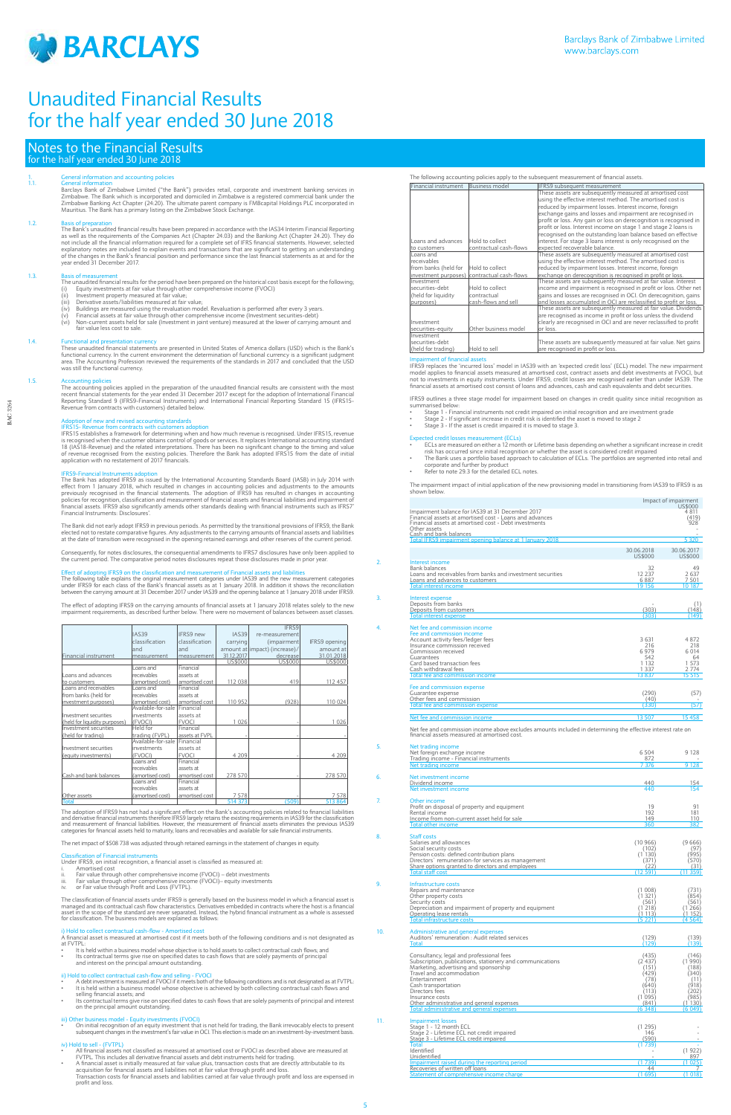

BAC 3264

**BAC 3264** 

## Notes to the Financial Results for the half year ended 30 June 2018

## 1. General information and accounting policies<br>1.1. General information

1.1. Ceneral information<br>Barclays Bank of Zimbabwe Limited ("the Bank") provides retail, corporate and investment banking services in<br>Zimbabwe. The Bank which is incorporated and domiciled in Zimbabwe is a registered comme

1.2.<br>The Bank's unaudited financial results have been prepared in accordance with the IAS34 Interim Financial Reporting<br>as well as the requirements of the Companies Act (Chapter 24.03) and the Banking Act (Chapter 24.20). explanatory notes are included to explain events and transactions that are significant to getting an understanding<br>of the changes in the Bank's financial position and performance since the last financial statements as at a

1.3.<br>The unaudited financial results for the period have been prepared on the historical cost basis except for the following;<br>(i) Equity investments at fair value through other comprehensive income (FVOCI)<br>(ii) Investment

- 
- 
- 
- (iii) Derivative assets/liabilities measured at fair value;<br>(iv) Buildings are measured using the revaluation model. Revaluation is performed after every 3 years.<br>(v) Financial assets at fair value through other c fair value less cost to sale.

## 1.4 **Functional and presentation currentle**

These unaudited financial statements are presented in United States of America dollars (USD) which is the Bank's functional currency. In the current environment the determination of functional currency is a significant judge area. The Accounting Profession reviewed the requirements of the standards in 2017 and concluded that the USD was still the functional currency.

The accounting policies applied in the preparation of the unaudited financial results are consistent with the most recent financial statements for the year ended 31 December 2017 except for the adoption of International Financial<br>Reporting Standard 9 (IFRS9-Financial Instruments) and International Financial Reporting Standard 15 (IFRS1

The Bank did not early adopt IFRS9 in previous periods. As permitted by the transitional provisions of IFRS9, the Bank elected not to restate comparative figures. Any adjustments to the carrying amounts of financial assets and liabilities<br>at the date of transition were recognised in the opening retained earnings and other reserves of the c

### 1.5. Accounting policies

## Adoption of new and revised accounting standards

IFRS15- Revenue from contracts with customers adoption<br>IFRS15- stablishes a framework for determining when and how much revenue is recognised. Under IFRS15, revenue<br>is recognised when the customer obtains control of goods

IFRS9-Financial Instruments adoption<br>The Bank has adoption<br>effect from 1 January 2018, which resulted in changes in accounting Standards Board (IASB) in July 2014 with<br>effect from 1 January 2018, which resulted in changes

The adoption of IFRS9 has not had a significant effect on the Bank's accounting policies related to financial liabilities<br>and derivative financial instruments therefore IFRS9 largely retains the existing requirements in IA and measurement of financial liabilities. However, the measurement of financial assets eliminates the previous IAS39 categories for financial assets held to maturity, loans and receivables and available for sale financial instruments.

i) Hold to collect contractual cash-flow - Amortised cost<br>A financial asset is measured at amortised cost if it meets both of the following conditions and is not designated as at FVTPL:

- 
- ii) Hold to collect contractual cash-flow and selling FVOCI<br>• A debt investment is measured at FVOCI if it meets both of the following conditions and is not designated as at FVTPL:<br>• It is held within a
- Its contractual terms give rise on specified dates to cash flows that are solely payments of principal and interest on the principal amount outstanding.

## iii) Other business model - Equity investments (FVOCI)

On initial recognition of an equity investment that is not held for trading, the Bank irrevocably elects to present<br>subsequent changes in the investment's fair value in OCI. This election is made on an investment-by-invest

Consequently, for notes disclosures, the consequential amendments to IFRS7 disclosures have only been applied to the current period. The comparative period notes disclosures repeat those disclosures made in prior year.

## ect of adopting IFRS9 on the classification and measurement of Fir

- All financial assets not classified as measured at amortised cost or FVOCI as described above are measured at
- FVTPL. This includes all derivative financial assets and debt instruments held for trading.<br>A financial asset is initially measured at fair value plus, transaction costs that are directly attributable to its<br>acquisition fo profit and loss.

The following table explains the original measurement categories under IAS39 and the new measurement categories under IFRS9 for each class of the Bank's financial assets as at 1 January 2018. In addition it shows the reconcili between the carrying amount at 31 December 2017 under IAS39 and the opening balance at 1 January 2018 under IFRS9.

The effect of adopting IFRS9 on the carrying amounts of financial assets at 1 January 2018 relates solely to the new impairment requirements, as described further below. There were no movement of balances between asset classes.

IFRS9 replaces the 'incurred loss' model in IAS39 with an 'expected credit loss' (ECL) model. The new impairment model applies to financial assets measured at amortised cost, contract assets and debt investments at FVOCI, but not to investments in equity instruments. Under IFRS9, credit losses are recognised earlier than under IAS39. The<br>financial assets at amortised cost consist of loans and advances, cash and cash equivalents and debt securit

|                               |                    |                |              | IFRS9                          |                      |
|-------------------------------|--------------------|----------------|--------------|--------------------------------|----------------------|
|                               | <b>IAS39</b>       | IFRS9 new      | <b>IAS39</b> | re-measurement                 |                      |
|                               | classification     | classification | carrying     | (impairment                    | <b>IFRS9</b> opening |
|                               | and                | and            |              | amount at limpact) (increase)/ | amount at            |
| Financial instrument          | measurement        | measurement    | 31.12.2017   | decrease                       | 31.01.2018           |
|                               |                    |                | US\$000      | US\$000                        | US\$000              |
|                               | Loans and          | Financial      |              |                                |                      |
| Loans and advances            | receivables        | assets at      |              |                                |                      |
| to customers                  | (amortised cost)   | amortised cost | 112 038      | 419                            | 112 457              |
| Loans and receivables         | Loans and          | Financial      |              |                                |                      |
| from banks (held for          | receivables        | assets at      |              |                                |                      |
| investment purposes)          | (amortised cost)   | amortised cost | 110 952      | (928)                          | 110 024              |
|                               | Available-for-sale | Financial      |              |                                |                      |
| Investment securities         | investments        | assets at      |              |                                |                      |
| (held for liquidity purposes) | (FVOCI)            | <b>FVOCI</b>   | 1 0 2 6      |                                | 1 0 2 6              |
| Investment securities         | Held for           | Financial      |              |                                |                      |
| (held for trading)            | trading (FVPL)     | assets at FVPL |              |                                |                      |
|                               | Available-for-sale | Financial      |              |                                |                      |
| Investment securities         | investments        | assets at      |              |                                |                      |
| (equity investments)          | (FVOCI)            | <b>FVOCI</b>   | 4 2 0 9      |                                | 4 209                |
|                               | Loans and          | Financial      |              |                                |                      |
|                               | receivables        | assets at      |              |                                |                      |
| Cash and bank balances        | (amortised cost)   | amortised cost | 278 570      |                                | 278 570              |
|                               | Loans and          | Financial      |              |                                |                      |
|                               | receivables        | assets at      |              |                                |                      |
| Other assets                  | (amortised cost)   | amortised cost | 7578         |                                | 7 5 7 8              |
| Total                         |                    |                | 514 373      | (509)                          | 513 864              |

The net impact of \$508 738 was adjusted through retained earnings in the statement of changes in equity.

## on of Financial instrum

Under IFRS9, on initial recognition, a financial asset is classified as measured at:

- i. Amortised cost ii. Fair value through other comprehensive income (FVOCI) debt investments
- iii. Fair value through other comprehensive income (FVOCI)– equity investments iv. or Fair value through Profit and Loss (FVTPL).

The classification of financial assets under IFRS9 is generally based on the business model in which a financial asset is managed and its contractual cash flow characteristics. Derivatives embedded in contracts where the host is a financial<br>asset in the scope of the standard are never separated. Instead, the hybrid financial instrument as a w for classification. The business models are explained as follows:

- It is held within a business model whose objective is to hold assets to collect contractual cash flows; and
- Its contractual terms give rise on specified dates to cash flows that are solely payments of principal and interest on the principal amount outstanding.

## iv) Hold to sell - (FVTPL)

The following accounting policies apply to the subsequent measurement of financial assets.

| Financial instrument | Business model                              | IFRS9 subsequent measurement                                       |
|----------------------|---------------------------------------------|--------------------------------------------------------------------|
|                      |                                             | These assets are subsequently measured at amortised cost           |
|                      |                                             | using the effective interest method. The amortised cost is         |
|                      |                                             | reduced by impairment losses. Interest income, foreign             |
|                      |                                             | exchange gains and losses and impairment are recognised in         |
|                      |                                             | profit or loss. Any gain or loss on derecognition is recognised in |
|                      |                                             | profit or loss. Interest income on stage 1 and stage 2 loans is    |
|                      |                                             | recognised on the outstanding loan balance based on effective      |
| Loans and advances   | Hold to collect                             | interest. For stage 3 loans interest is only recognised on the     |
| to customers         | contractual cash-flows                      | expected recoverable balance.                                      |
| Loans and            |                                             | These assets are subsequently measured at amortised cost           |
| receivables          |                                             | using the effective interest method. The amortised cost is         |
| from banks (held for | Hold to collect                             | reduced by impairment losses. Interest income, foreign             |
|                      | investment purposes) contractual cash-flows | exchange on derecognition is recognised in profit or loss.         |
| Investment           |                                             | These assets are subsequently measured at fair value. Interest     |
| securities-debt      | Hold to collect                             | income and impairment is recognised in profit or loss. Other net   |
| (held for liquidity  | contractual                                 | gains and losses are recognised in OCI. On derecognition, gains    |
| purposes)            | cash-flows and sell                         | and losses accumulated in OCI are reclassified to profit or loss.  |
|                      |                                             | These assets are subsequently measured at fair value. Dividends    |
|                      |                                             | are recognised as income in profit or loss unless the dividend     |
| Investment           |                                             | clearly are recognised in OCI and are never reclassified to profit |
| securities-equity    | Other business model                        | or loss.                                                           |
| Investment           |                                             |                                                                    |
| securities-debt      |                                             | These assets are subsequently measured at fair value. Net gains    |
| (held for trading)   | Hold to sell                                | are recognised in profit or loss.                                  |

## ment of financial assets

IFRS9 outlines a three stage model for impairment based on changes in credit quality since initial recognition as summarised below:

- Stage 1 Financial instruments not credit impaired on initial recognition and are investment grade<br>• Stage 2 If significant increase in credit risk is identified the asset is moved to stage 2<br>• Stage 3 If the asset
- 

## ected credit losses measurement (ECLs)

- ecta creak isses measurement (ECES)<br>ECLs are measured on either a 12 month or Lifetime basis depending on whether a significant increase in credit risk has occurred since initial recognition or whether the asset is considered credit impaired
- The Bank uses a portfolio based approach to calculation of ECLs. The portfolios are segmented into retail and<br>• corporate and further by product<br>• Refer to note 29.3 for the detailed ECL notes.
- 

The impairment impact of initial application of the new provisioning model in transitioning from IAS39 to IFRS9 is as shown below.

 $I$ mpact of impairment

|    |                                                                                                             |            | pac.copa<br>US\$000 |
|----|-------------------------------------------------------------------------------------------------------------|------------|---------------------|
|    | Impairment balance for IAS39 at 31 December 2017                                                            |            | 4 811               |
|    | Financial assets at amortised cost - Loans and advances                                                     |            | (419)               |
|    | Financial assets at amortised cost - Debt investments                                                       |            | 928                 |
|    | Other assets                                                                                                |            |                     |
|    | Cash and bank balances                                                                                      |            |                     |
|    | Total IFRS9 impairment opening balance at 1 January 2018                                                    |            | 5 3 2 0             |
|    |                                                                                                             | 30.06.2018 | 30.06.2017          |
|    |                                                                                                             | US\$000    | US\$000             |
| 2. | Interest income                                                                                             |            |                     |
|    | <b>Bank balances</b>                                                                                        | 32         | 49                  |
|    | Loans and receivables from banks and investment securities                                                  | 12 2 3 7   | 2637                |
|    | Loans and advances to customers                                                                             | 6887       | 7501                |
|    | <b>Total interest income</b>                                                                                | 19 15 6    | 10 187              |
|    |                                                                                                             |            |                     |
| 3. | Interest expense                                                                                            |            |                     |
|    | Deposits from banks                                                                                         |            | (1)                 |
|    | Deposits from customers                                                                                     | (303)      | (148)               |
|    | <b>Total interest expense</b>                                                                               | 303        | (149)               |
|    |                                                                                                             |            |                     |
| 4. | Net fee and commission income                                                                               |            |                     |
|    | Fee and commission income                                                                                   |            |                     |
|    | Account activity fees/ledger fees                                                                           | 3631       | 4872                |
|    | Insurance commission received                                                                               | 216        | 218                 |
|    | Commission received                                                                                         | 6979       | 6 0 14              |
|    | Guarantees                                                                                                  | 542        | 64                  |
|    | Card based transaction fees                                                                                 | 1 1 3 2    | 1.573               |
|    | Cash withdrawal fees                                                                                        | 1 3 3 7    | 2 7 7 4             |
|    | Total fee and commission income                                                                             | 13837      | 15 515              |
|    |                                                                                                             |            |                     |
|    | Fee and commission expense                                                                                  | (290)      | (57)                |
|    | Guarantee expense<br>Other fees and commission                                                              | (40)       |                     |
|    | Total fee and commission expense                                                                            | (330)      | (57)                |
|    |                                                                                                             |            |                     |
|    | Net fee and commission income                                                                               | 13 507     | 15458               |
|    |                                                                                                             |            |                     |
|    | Net fee and commission income above excludes amounts included in determining the effective interest rate on |            |                     |
|    | financial assets measured at amortised cost.                                                                |            |                     |
|    |                                                                                                             |            |                     |
| 5. | Net trading income                                                                                          |            |                     |
|    | Net foreign exchange income                                                                                 | 6.504      | 9 1 2 8             |
|    | Trading income - Financial instruments                                                                      | 872        |                     |
|    | Net trading income                                                                                          | 7 376      | 9 1 2 8             |
|    |                                                                                                             |            |                     |
| 6. | Net investment income                                                                                       |            |                     |
|    | Dividend income                                                                                             | 440        | 154                 |
|    | Net investment income                                                                                       | 440        | 154                 |
| 7. | Other income                                                                                                |            |                     |
|    | Profit on disposal of property and equipment                                                                | 19         | 91                  |
|    | Rental income                                                                                               | 192        | 181                 |
|    | Income from non-current asset held for sale                                                                 | 149        | 110                 |
|    | Total other income                                                                                          | 360        | 382                 |
|    |                                                                                                             |            |                     |
| 8. | Staff costs                                                                                                 |            |                     |
|    | Salaries and allowances                                                                                     | (10966)    | (9666)              |

8. Staff costs Salaries and allowances (10 966) (9 666) Social security costs<br>
Social security costs<br>
Pension costs: defined contribution plans<br>
Directors' remuneration-for services as management<br>
202) (971) (970) (970)<br>
Directors' remuneration-for services as management Pension costs: defined contribution plans Directors' remuneration-for services as management (371) (570) (570) (570) (570) (570) (570) Share options granted to directors and employees (22) (31) Total staff cost (12 591) (11 359)

9. Infrastructure costs

|     | Repairs and maintenance                                                                                                                                                                                                                                               | 008                                            | (731)                   |
|-----|-----------------------------------------------------------------------------------------------------------------------------------------------------------------------------------------------------------------------------------------------------------------------|------------------------------------------------|-------------------------|
|     | Other property costs                                                                                                                                                                                                                                                  | (1 321                                         | (854)                   |
|     | Security costs                                                                                                                                                                                                                                                        | (561)                                          | (561)                   |
|     | Depreciation and impairment of property and equipment                                                                                                                                                                                                                 | 218                                            | 266)                    |
|     | Operating lease rentals                                                                                                                                                                                                                                               | (1 113)                                        | 1152)                   |
|     | <b>Total infrastructure costs</b>                                                                                                                                                                                                                                     | (5 221                                         | (4564)                  |
| 10. | Administrative and general expenses<br>Auditors' remuneration : Audit related services<br><b>Total</b>                                                                                                                                                                | (129)<br>129                                   | (139)<br>(139)          |
|     | Consultancy, legal and professional fees                                                                                                                                                                                                                              | (435)                                          | (146)                   |
|     | Subscription, publications, stationery and communications                                                                                                                                                                                                             | (2437)                                         | (1 990)                 |
|     | Marketing, advertising and sponsorship                                                                                                                                                                                                                                | (151)                                          | (188)                   |
|     | Travel and accommodation                                                                                                                                                                                                                                              | (429)                                          | (340)                   |
|     | Entertainment                                                                                                                                                                                                                                                         | (78)                                           | (11)                    |
|     | Cash transportation                                                                                                                                                                                                                                                   | (640)                                          | (918)                   |
|     | Directors fees                                                                                                                                                                                                                                                        | (113)                                          | (202)                   |
|     | Insurance costs                                                                                                                                                                                                                                                       | (1095)                                         | (985)                   |
|     | Other administrative and general expenses                                                                                                                                                                                                                             | (841                                           | (1130)                  |
|     | <b>Total administrative and general expenses</b>                                                                                                                                                                                                                      | (6348)                                         | (6049)                  |
| 11. | <b>Impairment losses</b><br>Stage 1 - 12 month ECL<br>Stage 2 - Lifetime ECL not credit impaired<br>Stage 3 - Lifetime ECL credit impaired<br>Total<br>Identified<br>Unidentified<br>Impairment raised during the reporting period<br>Recoveries of written off loans | (1295)<br>146<br>(590)<br>(1739)<br>739)<br>44 | (1922)<br>897<br>(1025) |

Statement of comprehensive income charge (1 695) (1 018)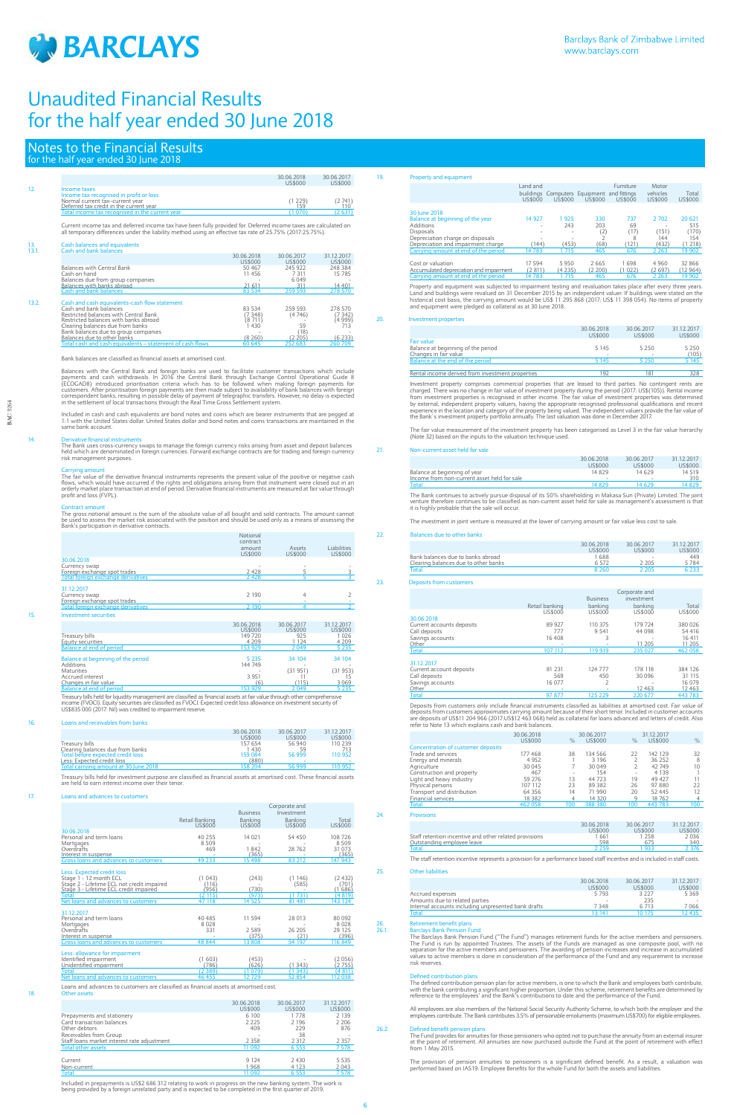

6

|       |                                                                                                                  |            | 30.06.2018<br>US\$000 | 30.06.2017<br>US\$000 |
|-------|------------------------------------------------------------------------------------------------------------------|------------|-----------------------|-----------------------|
| 12.   | Income taxes                                                                                                     |            |                       |                       |
|       | Income tax recognised in profit or loss                                                                          |            |                       |                       |
|       | Normal current tax-current year                                                                                  |            | (1229)<br>159         | (2741)                |
|       | Deferred tax credit in the current year<br>Total income tax recognised in the current year                       |            | (1070)                | 110<br>(2631)         |
|       |                                                                                                                  |            |                       |                       |
|       | Current income tax and deferred income tax have been fully provided for. Deferred income taxes are calculated on |            |                       |                       |
|       | all temporary differences under the liability method using an effective tax rate of 25.75% (2017:25.75%).        |            |                       |                       |
|       |                                                                                                                  |            |                       |                       |
| 13.   | <b>Cash balances and equivalents</b>                                                                             |            |                       |                       |
| 13.1. | Cash and bank balances                                                                                           |            |                       |                       |
|       |                                                                                                                  | 30.06.2018 | 30.06.2017            | 31.12.2017            |
|       |                                                                                                                  | US\$000    | <b>US\$000</b>        | US\$000               |
|       | <b>Balances with Central Bank</b>                                                                                | 50467      | 245 922               | 248 384               |
|       | Cash on hand                                                                                                     | 11456      | 7 3 1 1               | 15 785                |
|       | Balances due from group companies<br>Balances with banks abroad                                                  | 21 611     | 6049<br>311           | 14 401                |
|       | Cash and bank balances                                                                                           | 83 534     | 259 593               | 278 570               |
|       |                                                                                                                  |            |                       |                       |
| 13.2. | Cash and cash equivalents-cash flow statement                                                                    |            |                       |                       |
|       | Cash and bank balances                                                                                           | 83 534     | 259 593               | 278 570               |
|       | Restricted balances with Central Bank                                                                            | (7348)     | (4746)                | (7342)                |
|       | Restricted balances with banks abroad                                                                            | (8 711)    |                       | (4 999)               |
|       | Clearing balances due from banks                                                                                 | 430        | 59                    | 713                   |
|       | Bank balances due to group companies<br>Balances due to other banks                                              | (8260)     | (18)<br>(2, 205)      | (6233)                |
|       |                                                                                                                  |            |                       |                       |

Bank balances are classified as financial assets at amortised cost.

Balances with the Central Bank and foreign banks are used to facilitate customer transactions which include<br>payments and cash withdrawals. In 2016 the Central Bank through Exchange Control Operational Guide 8<br>(ECOGAD8) int

Total cash and cash equivalents – statement of cash flows 60 645 252 683 260 709

Included in cash and cash equivalents are bond notes and coins which are bearer instruments that are pegged at<br>1:1 with the United States dollar. United States dollar and bond notes and coins transactions are maintained in

14. Derivative financial instruments The Bank uses cross-currency swaps to manage the foreign currency risks arising from asset and deposit balances held which are denominated in foreign currencies. Forward exchange contracts are for trading and foreign currency risk management purposes.

Carrying amount<br>The fair value of the derivative financial instruments represents the present value of the positive or negative cash<br>flows, which would have occurred if the rights and obligations arising from that instrume

Contract amount<br>The gross notional amount is the sum of the absolute value of all bought and sold contracts. The amount cannot<br>be used to assess the market risk associated with the position and should be used only as a mea

Property and equipment was subjected to impairment testing and revaluation takes place after every three years. Land and buildings were revalued on 31 December 2015 by an independent valuer. If buildings were stated on the<br>historical cost basis, the carrying amount would be US\$ 11 295 868 (2017: US\$ 11 398 054). No items of property

|     |                                                                                                                                                                                                                                                                                                                 | Notional<br>contract  |                       |                        |
|-----|-----------------------------------------------------------------------------------------------------------------------------------------------------------------------------------------------------------------------------------------------------------------------------------------------------------------|-----------------------|-----------------------|------------------------|
|     |                                                                                                                                                                                                                                                                                                                 | amount<br>US\$000     | Assets<br>US\$000     | Liabilities<br>US\$000 |
|     | 30.06.2018                                                                                                                                                                                                                                                                                                      |                       |                       |                        |
|     | Currency swap                                                                                                                                                                                                                                                                                                   |                       |                       |                        |
|     | Foreign exchange spot trades                                                                                                                                                                                                                                                                                    | 2428                  | 5                     |                        |
|     | Total foreign exchange derivatives                                                                                                                                                                                                                                                                              | 2428                  | 5                     |                        |
|     | 31.12.2017                                                                                                                                                                                                                                                                                                      |                       |                       |                        |
|     | Currency swap                                                                                                                                                                                                                                                                                                   | 2 1 9 0               | 4                     | 2                      |
|     | Foreign exchange spot trades                                                                                                                                                                                                                                                                                    |                       |                       |                        |
|     | <b>Total foreign exchange derivatives</b>                                                                                                                                                                                                                                                                       | 2 190                 | 4                     | $\overline{2}$         |
| 15. | <b>Investment securities</b>                                                                                                                                                                                                                                                                                    |                       |                       |                        |
|     |                                                                                                                                                                                                                                                                                                                 | 30.06.2018<br>US\$000 | 30.06.2017<br>US\$000 | 31.12.2017<br>US\$000  |
|     | Treasury bills                                                                                                                                                                                                                                                                                                  | 149 720               | 925                   | 1026                   |
|     | <b>Equity securities</b>                                                                                                                                                                                                                                                                                        | 4 2 0 9               | 1 1 2 4               | 4 2 0 9                |
|     | <b>Balance at end of period</b>                                                                                                                                                                                                                                                                                 | 153 929               | 2049                  | 5235                   |
|     |                                                                                                                                                                                                                                                                                                                 |                       |                       |                        |
|     | Balance at beginning of the period                                                                                                                                                                                                                                                                              | 5 2 3 5               | 34 104                | 34 104                 |
|     | Additions                                                                                                                                                                                                                                                                                                       | 144 749               |                       |                        |
|     | <b>Maturities</b>                                                                                                                                                                                                                                                                                               |                       | (31951)               | (31953)                |
|     | Accrued interest                                                                                                                                                                                                                                                                                                | 3 9 5 1               | 11                    | 15                     |
|     | Changes in fair value<br><b>Balance at end of period</b>                                                                                                                                                                                                                                                        | (6)<br>153 929        | (115)<br>2 049        | 3 0 6 9<br>5 2 3 5     |
|     |                                                                                                                                                                                                                                                                                                                 |                       |                       |                        |
|     | Treasury bills held for liquidity management are classified as financial assets at fair value through other comprehensive<br>income (FVOCI). Equity securities are classified as FVOCI. Expected credit loss allowance on investment security of<br>US\$835 000 (2017: Nil) was credited to impairment reserve. |                       |                       |                        |
| 16. | Loans and receivables from banks                                                                                                                                                                                                                                                                                |                       |                       |                        |
|     |                                                                                                                                                                                                                                                                                                                 | 30.06.2018<br>US\$000 | 30.06.2017<br>US\$000 | 31.12.2017<br>US\$000  |
|     | Treasury bills                                                                                                                                                                                                                                                                                                  | 157 654               | 56 940                | 110 239                |

Investment property comprises commercial properties that are leased to third parties. No contingent rents are charged. There was no change in fair value of investment property during the period (2017: US\$(105)). Rental income<br>from investment properties is recognised in other income. The fair value of investment properties was dete

|                                       | 30.06.2018 | 30.06.2017     | 31.12.2017 |
|---------------------------------------|------------|----------------|------------|
|                                       | US\$000    | <b>US\$000</b> | US\$000    |
| Treasury bills                        | 157 654    | 56 940         | 110 239    |
| Clearing balances due from banks      | 1430       | 59             | 713        |
| Total before expected credit loss     | 159 084    | 56999          | 110 952    |
| Less: Expected credit loss            | (880)      | $\sim$         |            |
| Total carrying amount at 30 June 2018 | 158.204    | 56 999         | 110 952    |
|                                       |            |                |            |

Treasury bills held for investment purpose are classified as financial assets at amortised cost. These financial assets are held to earn interest income over their tenor.

## 17. Loans and advances to cust

Total 97 877 125 229 220 677 443 783 Deposits from customers only include financial instruments classified as liabilities at amortised cost. Fair value of deposits from customers approximates carrying amount because of their short tenor. Included in customer accounts<br>are deposits of US\$11 204 966 (2017:US\$12 463 068) held as collateral for loans advanced and letters of credi

|                                                                                       |                |                 | Corporate and |                |
|---------------------------------------------------------------------------------------|----------------|-----------------|---------------|----------------|
|                                                                                       |                | <b>Business</b> | Investment    |                |
|                                                                                       | Retail Banking | Banking         | Banking       | Total          |
|                                                                                       | US\$000        | <b>US\$000</b>  | US\$000       | <b>US\$000</b> |
| 30.06.2018<br>Personal and term loans                                                 | 40 255         | 14 0 21         | 54 450        | 108 726        |
| Mortgages                                                                             | 8 5 0 9        |                 |               | 8509           |
| Overdrafts                                                                            | 469            | 1842            | 28762         | 31 073         |
| Interest in suspense                                                                  |                | (365)           |               | (365)          |
| Gross loans and advances to customers                                                 | 49 233         | 15 498          | 83 212        | 147 943        |
| Less: Expected credit loss                                                            |                |                 |               |                |
| Stage 1 - 12 month ECL                                                                | (1043)         | (243)           | (1146)        | (2432)         |
| Stage 2 - Lifetime ECL not credit impaired                                            | (116)          |                 | (585)         | (701)          |
| Stage 3 - Lifetime ECL credit impaired                                                | (956)          | (730)           |               | (1686)         |
| <b>Total</b>                                                                          | (2115)         | (973)           | (1731)        | (4819)         |
| Net loans and advances to customers                                                   | 47 118         | 14 525          | 81 481        | 143 124        |
| 31.12.2017                                                                            |                |                 |               |                |
| Personal and term loans                                                               | 40 4 8 5       | 11 594          | 28 013        | 80 0 92        |
| Mortgages                                                                             | 8028           |                 |               | 8028           |
| Overdrafts                                                                            | 331            | 2589            | 26 205        | 29 125         |
| Interest in suspense                                                                  |                | (375)           | (21)          | (396)          |
| Gross loans and advances to customers                                                 | 48 844         | 13 808          | 54 197        | 116 849        |
| Less: allowance for impairment                                                        |                |                 |               |                |
| Identified impairment                                                                 | (1603)         | (453)           |               | (2056)         |
| Unidentified impairment                                                               | (786)          | 626)            | (1343)        | (2755)         |
| <b>Total</b>                                                                          | (2389)         | (1079)          | (1343)        | (4811)         |
| Net loans and advances to customers                                                   | 46 455         | 12729           | 52 854        | 112 038        |
| Loans and advances to customers are classified as financial assets at amortised cost. |                |                 |               |                |
| Other assets                                                                          |                |                 |               |                |
|                                                                                       |                | 30.06.2018      | 30.06.2017    | 31.12.2017     |
|                                                                                       |                | US\$000         | US\$000       | <b>US\$000</b> |
| Prepayments and stationery                                                            |                | 6 100           | 1778          | 2 1 3 9        |
| Card transaction balances                                                             |                | 2 2 2 5         | 2 1 9 6       | 2 2 0 6        |
| Other debtors                                                                         |                | 409             | 229           | 876            |
| Receivables from Group                                                                |                |                 | 38            |                |

30.06.2018 30.06.2017 31.12.2017 US\$000 US\$000 US\$000 Accrued expenses 5 793 3 227 5 369 Amounts due to related parties - 235 - Internal accounts including unpresented bank drafts Total 12 435 بين 13 141 10 175 بين المساحة 13 141 بين المساحة 13 141 بين المساحة 12 435 بين المساحة 12 435 بين

## 26. Retirement benefit plans<br>26.1. Barclays Bank Pension Func

26.1. Barclays Bank Pension Fund<br>The Barclays Bank Pension Fund ("The Fund") manages retirement funds for the active members and pensioners.<br>The Fund is run by appointed Trustees. The assets of the Funds are managed as one risk reserves.

Total 11 092 6 553 7 578 Included in prepayments is US\$2 686 312 relating to work in progress on the new banking system. The work is being provided by a foreign unrelated party and is expected to be completed in the first quarter of 2019.

Staff loans market interest rate adjustment 2 358 2 312 2 357 Total other assets 11 092 6 553 7 578 Current 9 124 2 430 5 535 <u>Non-current 1 968 4 123 2 043</u><br>Table 1 003 4 123 2 043

| - 19. | Property and equipment |  |
|-------|------------------------|--|
|-------|------------------------|--|

|                                         | Land and<br>US\$000 | US\$000                  | buildings Computers Equipment and fittings<br>US\$000 | Furniture<br>US\$000 | Motor<br>vehicles<br>US\$000 | Total<br>US\$000 |
|-----------------------------------------|---------------------|--------------------------|-------------------------------------------------------|----------------------|------------------------------|------------------|
| 30 June 2018                            |                     |                          |                                                       |                      |                              |                  |
| Balance at beginning of the year        | 14 927              | 925                      | 330                                                   | 737                  | 2 7 0 2                      | 20 621           |
| Additions                               | ۰                   | 243                      | 203                                                   | 69                   | $\sim$                       | 515              |
| <b>Disposals</b>                        | ۰                   | $\overline{\phantom{a}}$ | (2)                                                   | (17)                 | (151)                        | 170)             |
| Depreciation charge on disposals        | ۰                   | $\overline{\phantom{a}}$ | $\overline{ }$                                        | 8                    | 144                          | 154              |
| Depreciation and impairment charge      | (144)               | (453)                    | (68)                                                  | (121)                | (432)                        | (1218)           |
| Carrying amount at end of the period    | 14 783              | 715                      | 465                                                   | 676                  | 2 2 6 3                      | 19 902           |
|                                         |                     |                          |                                                       |                      |                              |                  |
| Cost or valuation                       | 17 594              | 5950                     | 2665                                                  | 1698                 | 4 9 6 0                      | 32 866           |
| Accumulated depreciation and impairment | (2811)              | (4 235)                  | (2200)                                                | (1022)               | (2697)                       | (12 964)         |
| Carrying amount at end of the period    | 14783               | 715                      | 465                                                   | 676                  | 2 2 6 3                      | 19 902           |

## 20. Investment properties

|                                                  | 30.06.2018<br>US\$000 | 30.06.2017<br>US\$000 | 31.12.2017<br>US\$000 |
|--------------------------------------------------|-----------------------|-----------------------|-----------------------|
| Fair value<br>Balance at beginning of the period | 5 1 4 5               | 5 250                 | 5 2 5 0               |
| Changes in fair value                            |                       |                       | (105)                 |
| Balance at the end of the period                 | 5 1 4 5               | 5 2 5 0               | 5 1 4 5               |
| Rental income derived from investment properties | 192                   | 181                   | 328                   |

The fair value measurement of the investment property has been categorised as Level 3 in the fair value hierarchy (Note 32) based on the inputs to the valuation technique used.

## 21. Non-current asset held for sale

|                                             | 30.06.2018 | 30.06.2017 | 31.12.2017 |
|---------------------------------------------|------------|------------|------------|
|                                             | US\$000    | US\$000    | US\$000    |
| Balance at beginning of year                | 14829      | 14629      | 14 519     |
| Income from non-current asset held for sale | ۰          |            | 310        |
| Total                                       | 14829      | 14 629     | 14829      |

The Bank continues to actively pursue disposal of its 50% shareholding in Makasa Sun (Private) Limited. The joint venture therefore continues to be classified as non-current asset held for sale as management's assessment is that it is highly probable that the sale will occur.

The investment in joint venture is measured at the lower of carrying amount or fair value less cost to sale.

## 22. Balances due to other banks

|                                      | 30.06.2018 | 30.06.2017     | 31 12 2017 |
|--------------------------------------|------------|----------------|------------|
|                                      | US\$000    | <b>US\$000</b> | US\$000    |
| Bank balances due to banks abroad    | 1688       | $\sim$         | 449        |
| Clearing balances due to other banks | 6572       | 2 2 0 5        | 5784       |
| Total                                | 8 2 6 0    | 2.205          | ና 233      |

23. Deposits from customers

|                           |                             |                          | Corporate and |              |
|---------------------------|-----------------------------|--------------------------|---------------|--------------|
|                           |                             | <b>Business</b>          | investment    |              |
|                           | Retail banking              | banking                  | banking       | Total        |
|                           | US\$000                     | US\$000                  | US\$000       | US\$000      |
| 30.06.2018                |                             |                          |               |              |
| Current accounts deposits | 89 927                      | 110 375                  | 179 724       | 380 026      |
| Call deposits             | 777                         | 9 5 4 1                  | 44 098        | 54 416       |
| Savings accounts          | 16408                       |                          |               | 16 411       |
| Other                     | ۰                           | $\overline{\phantom{a}}$ | 11 205        | 11 205       |
| Total                     | 107 112                     | 119 919                  | 235 027       | 462 058      |
| 31.12.2017                |                             |                          |               |              |
| Current account deposits  | 81 231                      | 124 777                  | 178 118       | 384 126      |
| Call deposits             | 569                         | 450                      | 30 096        | 31 115       |
| Savings accounts          | 16 077                      |                          |               | 16 0 79      |
| Other                     |                             |                          | 12463         | 12 4 63      |
|                           | $\sim$ $\sim$ $\sim$ $\sim$ | 127722                   | $\cdots$      | $1.12 - 2.2$ |

|                                    | 30.06.2018 |      | 30.06.2017 |               | 31.12.2017 |            |
|------------------------------------|------------|------|------------|---------------|------------|------------|
|                                    | US\$000    | $\%$ | US\$000    | $\frac{0}{0}$ | US\$000    | $\%$       |
| Concentration of customer deposits |            |      |            |               |            |            |
| Trade and services                 | 177468     | 38   | 134 566    | 22            | 142 129    | 32         |
| Energy and minerals                | 4 9 5 2    |      | 3 1 9 6    |               | 36 25 2    | 8          |
| Agriculture                        | 30 045     |      | 30 049     |               | 42 749     | 10         |
| Construction and property          | 467        | ۰    | 154        | $\sim$        | 4 1 3 9    |            |
| Light and heavy industry           | 59 276     | 13   | 44 723     | 19            | 49 427     |            |
| Physical persons                   | 107 112    | 23   | 89 382     | 26            | 97880      | 22         |
| Transport and distribution         | 64 35 6    | 14   | 71 990     | 20            | 52 445     | 12         |
| <b>Financial services</b>          | 18382      |      | 14 3 20    | 9             | 18762      | 4          |
| Total                              | 462 058    | 100  | 388 380    | 100           | 443 783    | 100        |
| <b>Provisions</b>                  |            |      |            |               |            |            |
|                                    |            |      |            |               |            |            |
|                                    |            |      | 30.06.2018 | 30.06.2017    |            | 31 12 2017 |

|                                                        | <i><b>SS000</b></i> | IS\$000 | <b>ISS000</b> |
|--------------------------------------------------------|---------------------|---------|---------------|
| Staff retention incentive and other related provisions | 661                 | 258     | 2036          |
| Outstanding employee leave                             | 598                 |         | 340           |
| Tota                                                   | ว วะเ               |         |               |

The staff retention incentive represents a provision for a performance based staff incentive and is included in staff costs.

25. Other liabilities

Defined contribution plans The defined contribution pension plan for active members, is one to which the Bank and employees both contribute, with the bank contributing a significant higher proportion. Under this scheme, retirement benefits are determined by reference to the employees' and the Bank's contributions to date and the performance of the Fund.

All employees are also members of the National Social Security Authority Scheme, to which both the employer and the<br>employees contribute. The Bank contributes 3.5% of pensionable emoluments (maximum US\$700) for eligible em

## $26.2$  Defined benefit per persisted by  $26.2$

The Fund provides for annuities for those pensioners who opted not to purchase the annuity from an external insurer at the point of retirement. All annuities are now purchased outside the Fund at the point of retirement with effect from 1 May 2015.

The provision of pension annuities to pensioners is a significant defined benefit. As a result, a valuation was<br>performed based on IAS19: Employee Benefits for the whole Fund for both the assets and liabilities.

# Notes to the Financial Results

|  |  | for the half year ended 30 June 2018 |  |  |
|--|--|--------------------------------------|--|--|
|  |  |                                      |  |  |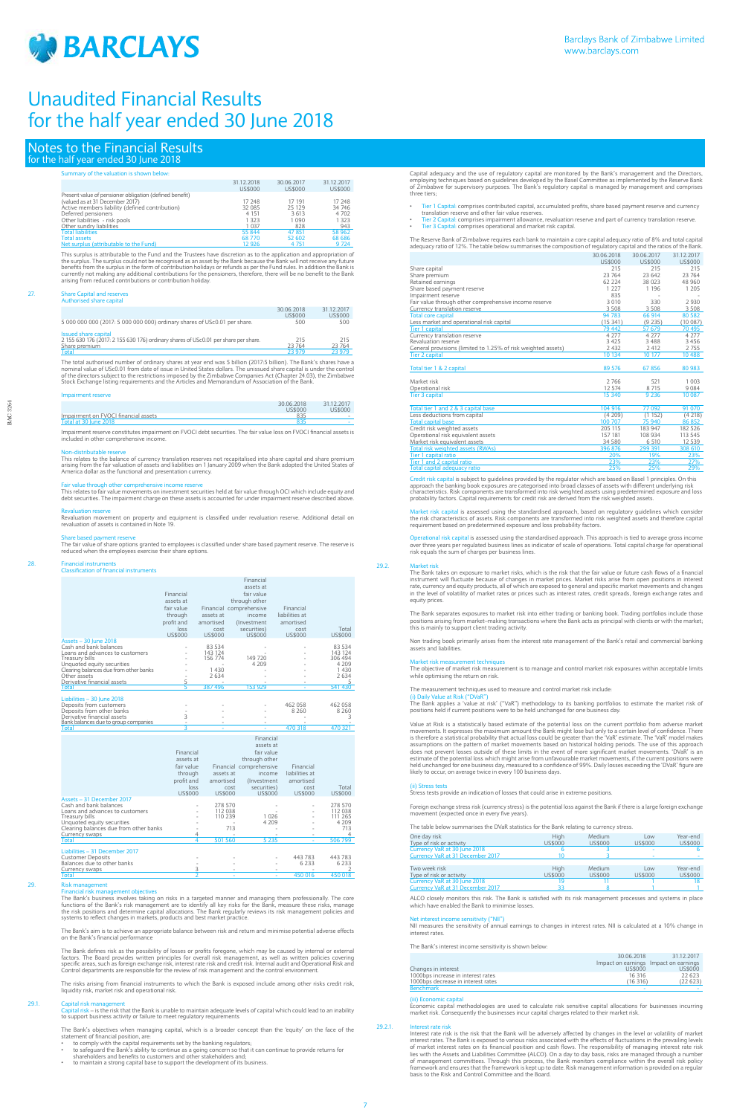

BAC 3264

BAC 3264

## Notes to the Financial Results for the half year ended 30 June 2018

## Summary of the valuation is shown below:

|                                                         | 31.12.2018 | 30.06.2017 | 31.12.2017 |
|---------------------------------------------------------|------------|------------|------------|
|                                                         | US\$000    | US\$000    | US\$000    |
| Present value of pensioner obligation (defined benefit) |            |            |            |
| (valued as at 31 December 2017)                         | 17 248     | 17 191     | 17 248     |
| Active members liability (defined contribution)         | 32 0 85    | 25 1 29    | 34 746     |
| Deferred pensioners                                     | 4 1 5 1    | 3613       | 4 7 0 2    |
| Other liabilities - risk pools                          | 1 323      | 1 0 9 0    | 1 3 2 3    |
| Other sundry liabilities                                | 1 0 3 7    | 828        | 943        |
| <b>Total liabilities</b>                                | 55 844     | 47 851     | 58 962     |
| <b>Total assets</b>                                     | 68770      | 52 602     | 68 68 6    |
| Net surplus (attributable to the Fund)                  | 12926      | 4 7 5 1    | 9 7 24     |

This surplus is attributable to the Fund and the Trustees have discretion as to the application and appropriation of the surplus. The surplus could not be recognised as an asset by the Bank because the Bank will not receive any future<br>benefits from the surplus in the form of contribution holidays or refunds as per the Fund rules. In addi arising from reduced contributions or contribution holiday.

<u>Total</u><br>The total authorised number of ordinary shares at year end was 5 billion (2017:5 billion). The Bank's shares have a<br>nominal value of USc0.01 from date of issue in United States dollars. The unissued share tapital i Stock Exchange listing requirements and the Articles and Memorandum of Association of the Bank.

## Impairment reserve

## 27. Share Capital and reserves Authorised share capital

|                                                                                     | 30.06.2018<br>US\$000 | 31.12.2017<br>US\$000 |
|-------------------------------------------------------------------------------------|-----------------------|-----------------------|
| 5 000 000 000 (2017: 5 000 000 000) ordinary shares of USc0.01 per share.           | 500                   | 500                   |
| Issued share capital                                                                |                       |                       |
| 2 155 630 176 (2017: 2 155 630 176) ordinary shares of USc0.01 per share per share. | 215                   | 215                   |
| Share premium                                                                       | 23 764                | 23 764                |

### **Financial instruments** Classification of financial instruments

|                                      | 30.06.2018<br><b>US\$000</b> | 31.12.2017<br>US\$000 |
|--------------------------------------|------------------------------|-----------------------|
| Impairment on FVOCI financial assets | 835                          | $\sim$                |
| Total at 30 June 2018                |                              |                       |

Impairment reserve constitutes impairment on FVOCI debt securities. The fair value loss on FVOCI financial assets is included in other comprehensive income.

### Non-distributable reserve

This relates to the balance of currency translation reserves not recapitalised into share capital and share premium arising from the fair valuation of assets and liabilities on 1 January 2009 when the Bank adopted the United States of America dollar as the functional and presentation currency.

Fair value through other comprehensive income reserve<br>This relates to fair value movements on investment securities held at fair value through OCI which include equity and<br>debt securities. The impairment charge on these as

Financial risk management objectives<br>The Bank's business involves taking on risks in a targeted manner and managing them professionally. The core<br>functions of the Bank's risk management are to identify all key risks for th systems to reflect changes in markets, products and best market practice.

The Bank's aim is to achieve an appropriate balance between risk and return and minimise potential adverse effects on the Bank's financial performance

The Bank defines risk as the possibility of losses or profits foregone, which may be caused by internal or external<br>factors. The Board provides written principles for overall risk management, as well as written policies co

Revaluation reserve Revaluation movement on property and equipment is classified under revaluation reserve. Additional detail on revaluation of assets is contained in Note 19.

Share based payment reserve<br>The fair value of share options granted to employees is classified under share based payment reserve. The reserve is<br>reduced when the employees exercise their share options.

- 
- \* to comply with the capital requirements set by the banking regulators;<br>\* to safeguard the Bank's ability to continue as a going concern so that it can continue to provide returns for<br>shareholders and benefits to customer
- to maintain a strong capital base to support the development of its business.

|                                        |                |                | Financial               |                |                |
|----------------------------------------|----------------|----------------|-------------------------|----------------|----------------|
|                                        |                |                | assets at               |                |                |
|                                        |                |                | fair value              |                |                |
|                                        | Financial      |                |                         |                |                |
|                                        | assets at      |                | through other           |                |                |
|                                        | fair value     |                | Financial comprehensive | Financial      |                |
|                                        | through        | assets at      | income                  | liabilities at |                |
|                                        |                |                |                         |                |                |
|                                        | profit and     | amortised      | (Investment)            | amortised      |                |
|                                        | loss           | cost           | securities)             | cost           | Total          |
|                                        | <b>US\$000</b> | <b>US\$000</b> | US\$000                 | <b>US\$000</b> | <b>US\$000</b> |
| Assets - 30 June 2018                  |                |                |                         |                |                |
| Cash and bank balances                 |                | 83 534         |                         |                | 83 534         |
| Loans and advances to customers        |                | 143 124        |                         |                | 143 124        |
| Treasury bills                         |                | 156 774        | 149 720                 |                | 306 494        |
| Unquoted equity securities             |                |                | 4 2 0 9                 |                | 4 2 0 9        |
| Clearing balances due from other banks |                | 1 4 3 0        |                         |                | 1430           |
| Other assets                           |                | 2634           |                         |                | 2634           |
| Derivative financial assets            | 5              |                |                         |                | 5              |
| <b>Total</b>                           | 5              | 387 496        | 153 929                 |                | 541 430        |
|                                        |                |                |                         |                |                |
| Liabilities - 30 June 2018             |                |                |                         |                |                |
| Deposits from customers                |                |                |                         | 462 058        | 462 058        |
| Deposits from other banks              |                |                |                         | 8 2 6 0        | 8 2 6 0        |
| Derivative financial assets            | 3              |                |                         |                | 3              |
| Bank balances due to group companies   |                |                |                         |                |                |
| <b>Total</b>                           | ٩              |                |                         | 470 318        | 470 321        |
|                                        |                |                | Financial               |                |                |
|                                        |                |                |                         |                |                |
|                                        |                |                | assets at               |                |                |
|                                        | Financial      |                | fair value              |                |                |
|                                        | assets at      |                | through other           |                |                |
|                                        | fair value     |                | Financial comprehensive | Financial      |                |
|                                        |                |                |                         |                |                |
|                                        | through        | assets at      | income                  | liabilities at |                |
|                                        | profit and     | amortised      | (Investment)            | amortised      |                |
|                                        | loss           |                | securities)<br>cost     | cost           | Total          |
|                                        | <b>US\$000</b> | US\$000        | US\$000                 | US\$000        | <b>US\$000</b> |
| Assets - 31 December 2017              |                |                |                         |                |                |
| Cash and bank balances                 |                | 278 570        |                         |                | 278 570        |
| Loans and advances to customers        |                | 112 038        |                         |                | 112 038        |
| Treasury bills                         |                | 110 239        |                         | 1026           | 111 265        |
| Unquoted equity securities             |                |                |                         | 4 2 0 9        | 4 2 0 9        |
| Clearing balances due from other banks |                |                | 713                     |                | 713            |
| <b>Currency swaps</b>                  | 4              |                |                         |                | 4              |
|                                        |                | $F01$ $F0$     |                         | $F$ $22F$      | FAC.700        |

Credit risk capital is subject to guidelines provided by the regulator which are based on Basel 1 principles. On this approach the banking book exposures are categorised into broad classes of assets with different underlying risk<br>characteristics. Risk components are transformed into risk weighted assets using predetermined exposure and lo

Market risk capital is assessed using the standardised approach, based on regulatory guidelines which consider<br>the risk characteristics of assets. Risk components are transformed into risk weighted assets and therefore cap

Operational risk capital is assessed using the standardised approach. This approach is tied to average gross income<br>over three years per regulated business lines as indicator of scale of operations. Total capital charge fo

Liabilities – 31 December 2017 Customer Deposits - - - 443 783 443 783 Balances due to other banks - - - 6 233 6 233 Currency swaps <sup>3</sup> - - - <sup>2</sup> Total <sup>2</sup> - - 450 016 450 018

Non trading book primarily arises from the interest rate management of the Bank's retail and commercial banking assets and liabilities

Market risk m

The risks arising from financial instruments to which the Bank is exposed include among other risks credit risk, liquidity risk, market risk and operational risk.

## $29.1.$  Capital risk m

Foreign exchange stress risk (currency stress) is the potential loss against the Bank if there is a large foreign exchange nent (expected once in every five years).

Capital risk – is the risk that the Bank is unable to maintain adequate levels of capital which could lead to an inability to support business activity or failure to meet regulatory requirements

The Bank's objectives when managing capital, which is a broader concept than the 'equity' on the face of the statement of financial position, are:

Economic capital methodologies are used to calculate risk sensitive capital allocations for businesses incurring market risk. Consequently the businesses incur capital charges related to their market risk.

29.2.1. Interest rate risk Interest rate risk is the risk that the Bank will be adversely affected by changes in the level or volatility of market interest rates. The Bank is exposed to various risks associated with the effects of fluctuations in the prevailing levels<br>of market interest rates on its financial position and cash flows. The responsibility of managing in of management committees. Through this process, the Bank monitors compliance within the overall risk policy<br>framework and ensures that the framework is kept up to date. Risk management information is provided on a regular<br>

Capital adequacy and the use of regulatory capital are monitored by the Bank's management and the Directors, employing techniques based on guidelines developed by the Basel Committee as implemented by the Reserve Bank of Zimbabwe for supervisory purposes. The Bank's regulatory capital is managed by management and comprises three tiers;

- Tier 1 Capital: comprises contributed capital, accumulated profits, share based payment reserve and currency translation reserve and other fair value reserves.
- Tier 2 Capital: comprises impairment allowance, revaluation reserve and part of currency translation reserve. Tier 3 Capital: comprises operational and market risk capital.

The Reserve Bank of Zimbabwe requires each bank to maintain a core capital adequacy ratio of 8% and total capital adequacy ratio of 12%. The table below summarises the composition of regulatory capital and the ratios of the Bank. 30.06.2018 30.06.2017 31.12.2017

|                                                               | US\$000  | US\$000 | US\$000 |
|---------------------------------------------------------------|----------|---------|---------|
| Share capital                                                 | 215      | 215     | 215     |
| Share premium                                                 | 23 764   | 23 642  | 23 764  |
| Retained earnings                                             | 62 2 2 4 | 38 0 23 | 48 960  |
| Share based payment reserve                                   | 1 2 2 7  | 1 1 9 6 | 1 2 0 5 |
| Impairment reserve                                            | 835      |         |         |
| Fair value through other comprehensive income reserve         | 3 0 1 0  | 330     | 2 9 3 0 |
| Currency translation reserve                                  | 3 5 0 8  | 3 5 0 8 | 3 5 0 8 |
| <b>Total core capital</b>                                     | 94 783   | 66 914  | 80 5 82 |
| Less market and operational risk capital                      | (15341)  | (9 235) | (10087) |
| <b>Tier 1 capital</b>                                         | 79 442   | 57 679  | 70 495  |
| Currency translation reserve                                  | 4 2 7 7  | 4 2 7 7 | 4 2 7 7 |
| Revaluation reserve                                           | 3 4 2 5  | 3488    | 3456    |
| General provisions (limited to 1.25% of risk weighted assets) | 2 4 3 2  | 2412    | 2755    |
| <b>Tier 2 capital</b>                                         | 10 134   | 10 177  | 10488   |
|                                                               |          |         |         |
| Total tier 1 & 2 capital                                      | 89 576   | 67856   | 80 983  |
|                                                               |          |         |         |
| Market risk                                                   | 2766     | 521     | 1 0 0 3 |
| Operational risk                                              | 12 574   | 8715    | 9084    |
| <b>Tier 3 capital</b>                                         | 15 340   | 9 2 3 6 | 10 087  |
| Total tier 1 and 2 & 3 capital base                           | 104 916  | 77092   | 91 070  |
| Less deductions from capital                                  | (4209)   | (1152)  | (4218)  |
| <b>Total capital base</b>                                     | 100 707  | 75 940  | 86 852  |
| Credit risk weighted assets                                   | 205 115  | 183 947 | 182 526 |
| Operational risk equivalent assets                            | 157 181  | 108 934 | 113 545 |
| Market risk equivalent assets                                 | 34 580   | 6 5 1 0 | 12 539  |
| Total risk weighted assets (RWAs)                             | 396 876  | 299 391 | 308 610 |
| Tier 1 capital ratio                                          | 20%      | 19%     | 23%     |
| Tier 1 and 2 capital ratio                                    | 23%      | 23%     | 27%     |
| Total capital adequacy ratio                                  | 25%      | 25%     | 29%     |
|                                                               |          |         |         |

## 29.2. Market risk

The Bank takes on exposure to market risks, which is the risk that the fair value or future cash flows of a financial instrument will fluctuate because of changes in market prices. Market risks arise from open positions in interest<br>rate, currency and equity products, all of which are exposed to general and specific market movements and ch in the level of volatility of market rates or prices such as interest rates, credit spreads, foreign exchange rates and equity prices.

The Bank separates exposures to market risk into either trading or banking book. Trading portfolios include those positions arising from market–making transactions where the Bank acts as principal with clients or with the market; this is mainly to support client trading activity.

The objective of market risk measurement is to manage and control market risk exposures within acceptable limits while optimising the return on risk.

The measurement techniques used to measure and control market risk include:

Value at Risk ("DVaR'

The Bank applies a 'value at risk' ("VaR") methodology to its banking portfolios to estimate the market risk of positions held if current positions were to be held unchanged for one business day.

Value at Risk is a statistically based estimate of the potential loss on the current portfolio from adverse market movements. It expresses the maximum amount the Bank might lose but only to a certain level of confidence. There<br>is therefore a statistical probability that actual loss could be greater than the 'VaR' estimate. The 'VaR' mo assumptions on the pattern of market movements based on historical holding periods. The use of this approach<br>does not prevent losses outside of these limits in the event of more significant market movements. 'DVaR' is an<br>e held unchanged for one business day, measured to a confidence of 99%. Daily losses exceeding the 'DVaR' figure are likely to occur, on average twice in every 100 business days.

## (ii) Stress tests

Stress tests provide an indication of losses that could arise in extreme positions.

The table below summarises the DVaR statistics for the Bank relating to currency stress.

| One day risk                     | High    | Medium  | Low     | Year-end |
|----------------------------------|---------|---------|---------|----------|
| Type of risk or activity         | US\$000 | US\$000 | US\$000 | US\$000  |
| Currency VaR at 30 June 2018     |         |         |         |          |
| Currency VaR at 31 December 2017 |         |         |         |          |
|                                  |         |         |         |          |
| Two week risk                    | High    | Medium  | Low     | Year-end |
| Type of risk or activity         | US\$000 | US\$000 | US\$000 | US\$000  |
| Currency VaR at 30 June 2018     |         |         |         |          |
| Currency VaR at 31 December 2017 |         |         |         |          |

ALCO closely monitors this risk. The Bank is satisfied with its risk management processes and systems in place which have enabled the Bank to minimise losses.

Net interest income sensitivity ("NII") NII measures the sensitivity of annual earnings to changes in interest rates. NII is calculated at a 10% change in interest rates.

The Bank's interest income sensitivity is shown below:

|                                    | 30.06.2018                            | 31.12.2017     |
|------------------------------------|---------------------------------------|----------------|
|                                    | Impact on earnings Impact on earnings |                |
| Changes in interest                | US\$000                               | <b>US\$000</b> |
| 1000bps increase in interest rates | 16 316                                | 22623          |
| 1000bps decrease in interest rates | (16, 316)                             | (22623)        |
| <b>Benchmark</b>                   |                                       |                |

### (iii) Economic capital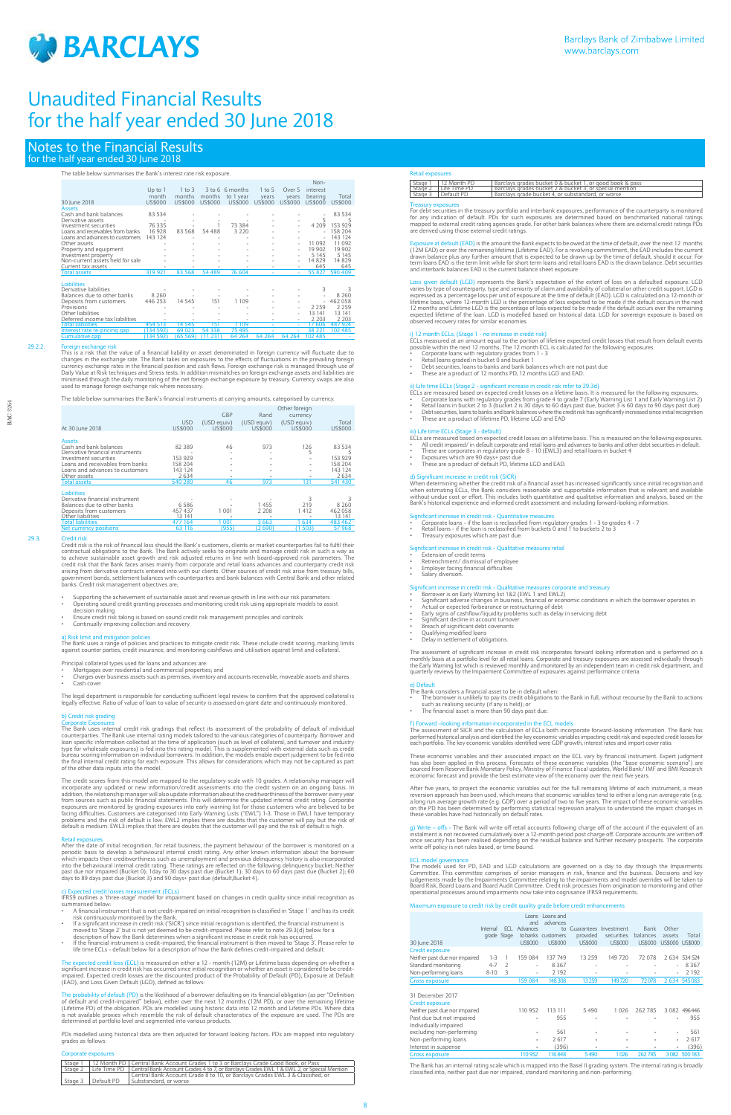

## Notes to the Financial Results for the half year ended 30 June 2018

## The table below summarises the Bank's interest rate risk exposure.

|                                  |           |            |         |                 |          |         | Non-     |         |
|----------------------------------|-----------|------------|---------|-----------------|----------|---------|----------|---------|
|                                  | Up to $1$ | $1$ to $3$ |         | 3 to 6 6 months | $1$ to 5 | Over 5  | interest |         |
|                                  | month     | months     | months  | to 1 year       | years    | years   | bearing  | Total   |
| 30 June 2018                     | US\$000   | US\$000    | US\$000 | US\$000         | US\$000  | US\$000 | US\$000  | US\$000 |
| <b>Assets</b>                    |           |            |         |                 |          |         |          |         |
| Cash and bank balances           | 83 534    |            |         |                 |          |         |          | 83 534  |
| Derivative assets                |           |            |         |                 |          |         | 5        | 5       |
| Investment securities            | 76 335    |            |         | 73 384          |          |         | 4 2 0 9  | 153 929 |
| Loans and receivables from banks | 16 928    | 83 5 68    | 54 488  | 3 2 2 0         |          |         |          | 158 204 |
| Loans and advances to customers  | 143 124   |            |         |                 |          |         |          | 143 124 |
| Other assets                     |           |            |         |                 |          | ۰       | 11 092   | 11 092  |
| Property and equipment           |           |            |         |                 |          |         | 19 902   | 19 902  |
| Investment property              |           |            |         |                 |          |         | 5 1 4 5  | 5 1 4 5 |
| Non-current assets held for sale |           |            |         |                 |          |         | 14 8 29  | 14 829  |
| Current tax assets               |           |            |         |                 |          |         | 645      | 645     |
| <b>Total assets</b>              | 319 921   | 83 5 68    | 54 489  | 76 604          |          |         | 55 827   | 590 409 |
| <b>Liabilities</b>               |           |            |         |                 |          |         |          |         |
| Derivative liabilities           |           |            |         |                 |          |         | 3        |         |
| Balances due to other banks      | 8 2 6 0   |            |         |                 |          |         |          | 8 2 6 0 |
| Deposits from customers          | 446 253   | 14 5 4 5   | 151     | 1 1 0 9         |          |         |          | 462 058 |
| Provisions                       |           |            |         |                 |          |         | 2 2 5 9  | 2 2 5 9 |
| Other liabilities                |           |            |         |                 |          | ۰       | 13 141   | 13 141  |
| Deferred income tax liabilities  |           |            |         |                 |          |         | 2 2 0 3  | 2 2 0 3 |
| Total liabilities                | 454 513   | 14 545     | 151     | 1 109           |          |         | 17.606   | 487 974 |

29.2.2. Foreign exchange risk<br>This is a risk that the value of a financial liability or asset denominated in foreign currency will fluctuate due to<br>changes in the exchange rate. The Bank takes on exposures to the effects o Daily Value at Risk techniques and Stress tests. In addition mismatches on foreign exchange assets and liabilities are<br>minimised through the daily monitoring of the net foreign exchange exposure by treasury. Currency swaps

erest rate re-pricing gap (134 592) 69 023 54 338 75 495 - 38 221 102 485<br>mulative gap (134 592) (65 569) (11 231) 64 264 64 264 64 264 102 485

29.3. Credit risk<br>Credit risk is the risk of financial loss should the Bank's customers, clients or market counterparties fail to fulfil their<br>contractual obligations to the Bank. The Bank actively seeks to originate and m credit risk that the Bank faces arises mainly from corporate and retail loans advances and counterparty credit risk<br>arising from derivative contracts entered into with our clients. Other sources of credit risk arise from t banks. Credit risk management objectives are;

- Supporting the achievement of sustainable asset and revenue growth in line with our risk parameters Operating sound credit granting processes and monitoring credit risk using appropriate models to assist decision making
- Ensure credit risk taking is based on sound credit risk management principles and controls
- Continually improving collection and recovery

a) Risk limit and mitigation policies<br>The Bank uses a range of policies and practices to mitigate credit risk. These include credit scoring, marking limits against counter parties, credit insurance, and monitoring cashflows and utilisation against limit and collatera

The table below summarises the Bank's financial instruments at carrying amounts, categorised by currency.

- Principal collateral types used for loans and advances are:
- Mortgages over residential and commercial properties; and
- Charges over business assets such as premises, inventory and accounts receivable, moveable assets and shares. Cash cove

| At 30 lune 2018                                                                                                                                                                                             | <b>USD</b><br>US\$000                                      | <b>GBP</b><br>(USD eauiv)<br>US\$000 | Rand<br>(USD equiv)<br>US\$000    | Other foreign<br>currency<br>(USD equiv)<br>US\$000 | Total<br>US\$000                                                |
|-------------------------------------------------------------------------------------------------------------------------------------------------------------------------------------------------------------|------------------------------------------------------------|--------------------------------------|-----------------------------------|-----------------------------------------------------|-----------------------------------------------------------------|
| <b>Assets</b><br>Cash and bank balances<br>Derivative financial instruments<br>Investment securities<br>Loans and receivables from banks<br>Loans and advances to customers<br>Other assets<br>Total assets | 82 389<br>153 929<br>158 204<br>143 124<br>2634<br>540 280 | 46<br>46                             | 973<br>973                        | 126<br>5<br>131                                     | 83 534<br>5<br>153 929<br>158 204<br>143 124<br>2634<br>541 430 |
| <b>Liabilities</b><br>Derivative financial instrument<br>Balances due to other banks<br>Deposits from customers<br>Other liabilities<br><b>Total liabilities</b><br>Net currency positions                  | 6586<br>457 437<br>3 141<br>477 164<br>63 116              | 1 001<br>001<br>(955)                | 1455<br>2 2 0 8<br>3663<br>(2690) | 219<br>1412<br>634<br>(1503)                        | 8 2 6 0<br>462 058<br>13 141<br>483 462<br>57 968               |

IFRS9 outlines a 'three-stage' model for impairment based on changes in credit quality since initial recognition as arised belo

The probability of default (PD) is the likelihood of a borrower defaulting on its financial obligation (as per "Definition<br>of default and credit-impaired" below), either over the next 12 months (12M PD), or over the remain determined at portfolio level and segmented into various products.

The legal department is responsible for conducting sufficient legal review to confirm that the approved collateral is legally effective. Ratio of value of loan to value of security is assessed on grant date and continuously monitored.

## b) Credit risk grading

For debt securities in the treasury portfolio and interbank exposures, performance of the counterparty is monitored<br>for any indication of default. PDs for such exposures are determined based on benchmarked national ratings are derived using those external credit ratings.

Exposure at default (EAD) is the amount the Bank expects to be owed at the time of default, over the next 12 months (12M EAD) or over the remaining lifetime (Lifetime EAD). For a revolving commitment, the EAD includes the

Loss given default (LGD) represents the Bank's expectation of the extent of loss on a defaulted exposure. LGD<br>varies by type of counterparty, type and seniority of claim and availability of collateral or other credit suppo 12 months and Lifetime LGD is the percentage of loss expected to be made if the default occurs over the remaining<br>expected lifetime of the loan. LGD is modelled based on historical data. LGD for sovereign exposure is based

Corporate Exposures The Bank uses internal credit risk gradings that reflect its assessment of the probability of default of individual counterparties. The Bank use internal rating models tailored to the various categories of counterparty. Borrower and<br>loan specific information collected at the time of application (such as level of collateral; and turnover the final internal credit rating for each exposure. This allows for considerations which may not be captured as part of the other data inputs into the model.

The credit scores from this model are mapped to the regulatory scale with 10 grades. A relationship manager will<br>incorporate any updated or new information/credit assessments into the credit system on an ongoing basis. In<br> from sources such as public financial statements. This will determine the updated internal credit rating. Corporate<br>exposures are monitored by grading exposures into early warning list for those customers who are believed

Retail exposures<br>After the date of initial recognition, for retail business, the payment behaviour of the borrower is monitored on a<br>periodic basis to develop a behavioural internal credit rating. Any other known informati into the behavioural internal credit rating. These ratings are reflected on the following delinquency bucket; Neither<br>past due nor impaired (Bucket 0); 1day to 30 days past due (Bucket 1); 30 days to 60 days past due (Buck

- ECLs are measured based on expected credit losses on a lifetime basis. This is measured on the following exposures.<br>• All credit impaired/ in default corporate and retail loans and advances to banks and other debt se
- 
- 
- Exposures which are 90 days+ past due These are a product of default PD, lifetime LGD and EAD.

When determining whether the credit risk of a financial asset has increased significantly since initial recognition and<br>when estimating ECLs, the Bank considers reasonable and supportable information that is relevant and a Bank's historical experience and informed credit assessment and including forward-looking information.

- Significant increase in credit risk Quantitative measures<br>• Corporate loans if the loan is reclassified from regulatory grades 1 3 to grades 4 7<br>• Retail loans if the loan is reclassified from buckets
- Treasury exposures which are past due.
- se in credit risk Qualitative measures retail
- Extension of credit terms Retrenchment/ dismissal of employee
- 
- Employer facing financial difficulties Salary diversion.
- Significant increase in credit risk Qualitative measures corporate and treasury Borrower is on Early Warning list 1&2 (EWL 1 and EWL2)
- 
- Significant adverse changes in business, financial or economic conditions in which the borrower operates in<br>- Actual or expected forbearance or restructuring of debt<br>- Early signs of cashflow/liquidity problems such as d
- 
- 
- 
- Qualifying modified loans Delay in settlement of obligations.
- The assessment of significant increase in credit risk incorporates forward looking information and is performed on a<br>monthly basis at a portfolio level for all retail loans. Corporate and treasury exposures are assessed in

e) Default The Bank considers a financial asset to be in default when: • The borrower is unlikely to pay its credit obligations to the Bank in full, without recourse by the Bank to actions<br>- Such as realising security (if any is held); or<br>The financial asset is more than 90 days past due.

## rmation incorporated in the ECL models

The assessment of SICR and the calculation of ECLs both incorporate forward-looking information. The Bank has<br>performed historical analysis and identified the key economic variables impacting credit risk and expected credi

- A financial instrument that is not credit-impaired on initial recognition is classified in 'Stage 1' and has its credit
- risk continuously monitored by the Bank. If a significant increase in credit risk ('SICR') since initial recognition is identified, the financial instrument is moved to 'Stage 2' but is not yet deemed to be credit-impaired. Please refer to note 29.3(d) below for a<br>description of how the Bank determines when a significant increase in credit risk has occurred.<br>If the financial inst
- life time ECLs default below for a description of how the Bank defines credit-impaired and default.

The expected credit loss (ECL) is measured on either a 12 - month (12M) or Lifetime basis depending on whether a<br>significant increase in credit risk has occurred since initial recognition or whether an asset is considered significant increase in credit risk has occurred since initial recognition or whether an asset is considered to be credit-<br>impaired. Expected credit losses are the discounted product of the Probability of Default (PD), Exp These economic variables and their associated impact on the ECL vary by financial instrument. Expert judgment has also been applied in this process. Forecasts of these economic variables (the "base economic scenario") are<br>sourced from Reserve Bank Monetary Policy, Ministry of Finance Fiscal updates, World Bank/ IMF and BMI Researc

After five years, to project the economic variables out for the full remaining lifetime of each instrument, a mean reversion approach has been used, which means that economic variables tend to either a long run average rate (e.g.<br>a long run average growth rate (e.g. GDP) over a period of two to five years. The impact of these economic

g) Write – offs - The Bank will write off retail accounts following charge off of the account if the equivalent of an instalment is not constant in the equivalent of an instalment is not covered cumulatively over a 12-mont

ECL model governance<br>The models used for PD, EAD and LGD calculations are governed on a day to day through the Impairments<br>Committee. This committee comprises of senior managers in risk, finance and the business. Decisions

## cted credit losses measurement (ECLs)

PDs modelled using historical data are then adjusted for forward looking factors. PDs are mapped into regulatory grades as follows:

### Corporate exposures

|  |                      | Stage 1   12 Month PD   Central Bank Account Grades 1 to 3 or Barclays Grade Good Book, or Pass                   |
|--|----------------------|-------------------------------------------------------------------------------------------------------------------|
|  |                      | Stage 2   Life Time PD   Central Bank Account Grades 4 to 7, or Barclays Grades EWL 1 & EWL 2, or Special Mention |
|  |                      | Central Bank Account Grade 8 to 10, or Barclays Grades EWL 3 & Classified, or                                     |
|  | Stage 3   Default PD | Substandard, or worse                                                                                             |

## Retail exposures

| Stage 1   12 Month PD  | Barclays grades bucket 0 & bucket 1, or good book & pass |
|------------------------|----------------------------------------------------------|
| Stage 2   Life Time PD | Barclays grades bucket 2 & bucket 3, or special mention  |
| Stage 3   Default PD   | Barclays grade bucket 4, or substandard, or worse        |

### ury exposures

## i) 12 month ECLs; (Stage 1 - no increase in credit risk)

ECLs measured at an amount equal to the portion of lifetime expected credit losses that result from default events<br>possible within the next 12 months. The 12 month ECL is calculated for the following exposures<br>• Corporate

- 
- 
- These are a product of 12 months PD, 12 months LGD and EAD.

- ii) Life time ECLs (Stage 2 significant increase in credit risk refer to 29.3d)<br>ECLs are measured based on expected credit losses on a lifetime basis. It is measured for the following exposures;<br>
► Corporate loans with
- 
- 
- 

## iii) Life time ECLs (Stage 3 - default)

## d) Significant increase in credit risk (SICR)

Board Risk, Board Loans and Board Audit Committee. Credit risk processes from origination to monitoring and other operational processes around impairments now take into cognisance IFRS9 requirements.

## num exposure to credit risk by credit quality grade before credit enhancen

|                               | Internal<br>grade Stage | ECI. | Loans<br>and<br><b>Advances</b> | Loans and<br>advances<br>to<br>to banks customers | Guarantees<br>provided   | Investment<br>securities | Bank<br>balances | Other<br>assets | Total            |
|-------------------------------|-------------------------|------|---------------------------------|---------------------------------------------------|--------------------------|--------------------------|------------------|-----------------|------------------|
| 30 lune 2018                  |                         |      | <b>US\$000</b>                  | <b>US\$000</b>                                    | <b>US\$000</b>           | <b>US\$000</b>           | <b>US\$000</b>   | US\$000 US\$000 |                  |
| <b>Credit exposure</b>        |                         |      |                                 |                                                   |                          |                          |                  |                 |                  |
| Neither past due nor impaired | $1 - 3$                 |      | 159 084                         | 137 749                                           | 13 25 9                  | 149 720                  | 72 078           |                 | 2 6 34 5 34 5 24 |
| Standard monitoring           | $4 - 7$                 |      | ٠                               | 8 3 6 7                                           | $\overline{\phantom{a}}$ |                          |                  | $\overline{a}$  | 8 3 6 7          |
| Non-performing loans          | $8 - 10$                | 3    | ٠                               | 2 1 9 2                                           |                          | $\sim$                   | ۰                | $\overline{a}$  | 2 1 9 2          |
| <b>Gross exposure</b>         |                         |      | 159 084                         | 148308                                            | 13 2 5 9                 | 149720                   | 72078            |                 | 2 634 545 083    |

### 31 December 2017

### Credit exposure

| Neither past due nor impaired | 110 952                  | 113 111 | 5 4 9 0                  | 1 0 2 6 | 262 785 |                | 3 0 8 2 4 9 6 4 4 6 |
|-------------------------------|--------------------------|---------|--------------------------|---------|---------|----------------|---------------------|
| Past due but not impaired     | ٠                        | 955     | $\overline{\phantom{a}}$ | ٠       | ٠       | $\overline{a}$ | 955                 |
| Individually impaired         |                          |         |                          |         |         |                |                     |
| excluding non-performing      | ٠                        | 561     | ٠                        | ٠       | ٠       | ٠              | 561                 |
| Non-performing loans          | $\overline{\phantom{m}}$ | 2617    | $\overline{\phantom{a}}$ | ٠       | ٠       | $\mathbf{r}$   | 2 6 1 7             |
| Interest in suspense          | ٠                        | (396)   | $\overline{\phantom{a}}$ |         | ٠       | $\overline{a}$ | (396)               |
| <b>Gross exposure</b>         | 110 952                  | 116848  | 5490                     |         |         |                | 3082 500 183        |

The Bank has an internal rating scale which is mapped into the Basel II grading system. The internal rating is broadly classified into; neither past due nor impaired, standard monitoring and non-performing.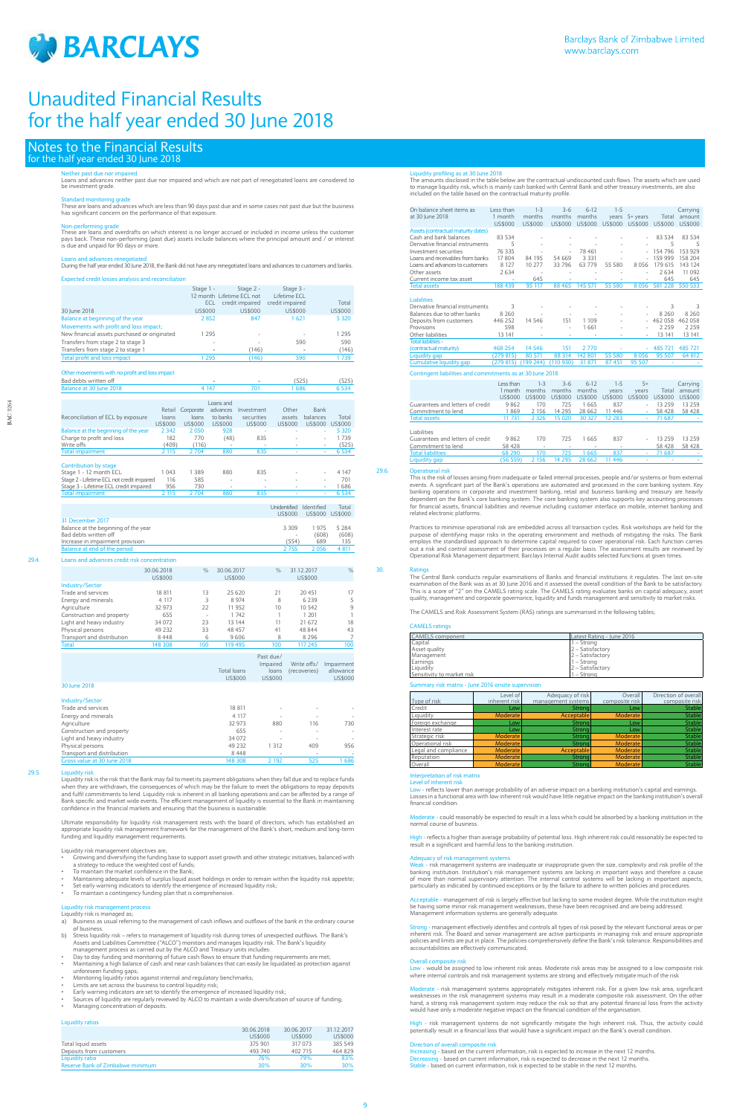

## Notes to the Financial Results for the half year ended 30 June 2018

## either past due nor impaired

Loans and advances neither past due nor impaired and which are not part of renegotiated loans are considered to be investment grade.

Non-performing grade<br>These are loans and overdrafts on which interest is no longer accrued or included in income unless the customer<br>pays back. These non-performing (past due) assets include balances where the principal am is due and unpaid for 90 days or more.

Standard monitoring grade These are loans and advances which are less than 90 days past due and in some cases not past due but the business has significant concern on the performance of that exposure.

Loans and advances renegotiated During the half year ended 30 June 2018, the Bank did not have any renegotiated loans and advances to customers and banks. Expected credit losses analysis and reconciliation

|                                              | Stage 1 - | Stage 2 -                 | Stage 3 -       |         |
|----------------------------------------------|-----------|---------------------------|-----------------|---------|
|                                              |           | 12 month Lifetime ECL not | Lifetime ECL    |         |
|                                              | ECL       | credit impaired           | credit impaired | Total   |
| 30 June 2018                                 | US\$000   | US\$000                   | US\$000         | US\$000 |
| Balance at beginning of the year             | 2852      | 847                       | 1621            | 5 3 2 0 |
| Movements with profit and loss impact;       |           |                           |                 |         |
| New financial assets purchased or originated | 1 2 9 5   | ۰                         | $\sim$          | 1 2 9 5 |
| Transfers from stage 2 to stage 3            | ۰         |                           | 590             | 590     |
| Transfers from stage 2 to stage 1            | ۰         | (146)                     |                 | (146)   |
| Total profit and loss impact                 | 295       | (146)                     | 590             | 1739    |
|                                              |           |                           |                 |         |

## Other movements with no profit and loss impact

ns and advances credit risk concentration

| Bad debts written off                      |         |           |           |                | (525)        | (525)                    |                |
|--------------------------------------------|---------|-----------|-----------|----------------|--------------|--------------------------|----------------|
| Balance at 30 June 2018                    |         |           | 4 1 4 7   | 701            | 1686         |                          | 6 5 3 4        |
|                                            |         |           |           |                |              |                          |                |
|                                            |         |           | Loans and |                |              |                          |                |
|                                            | Retail  | Corporate | advances  | Investment     | Other        | Bank                     |                |
| Reconciliation of ECL by exposure          | loans   | loans     | to banks  | securities     | assets       | balances                 | Total          |
|                                            | US\$000 | US\$000   | US\$000   | <b>US\$000</b> | US\$000      | US\$000                  | <b>US\$000</b> |
| Balance at the beginning of the year       | 2 3 4 2 | 2050      | 928       |                |              | ٠                        | 5 3 2 0        |
| Charge to profit and loss                  | 182     | 770       | (48)      | 835            | ٠            |                          | 1739           |
| Write offs                                 | (409)   | (116)     |           | ٠              | ٠            | ٠                        | (525)          |
| <b>Total impairment</b>                    | 2 1 1 5 | 2704      | 880       | 835            |              | ٠                        | 6 5 3 4        |
| Contribution by stage                      |         |           |           |                |              |                          |                |
| Stage 1 - 12 month ECL                     | 1 043   | 1389      | 880       | 835            |              | ٠                        | 4 1 4 7        |
| Stage 2 - Lifetime ECL not credit impaired | 116     | 585       |           |                | ۰            | ۰                        | 701            |
| Stage 3 - Lifetime ECL credit impaired     | 956     | 730       | ۰         | $\sim$         | $\sim$       | $\overline{\phantom{a}}$ | 1686           |
| <b>Total impairment</b>                    | 2 1 1 5 | 2704      | 880       | 835            |              | ٠                        | 6 5 3 4        |
|                                            |         |           |           |                |              |                          |                |
|                                            |         |           |           |                | Inidentified | <b>hantified</b>         | Total          |

|                                      | US\$000 | US\$000 US\$000 |       |
|--------------------------------------|---------|-----------------|-------|
| 31 December 2017                     |         |                 |       |
| Balance at the beginning of the year | 3 3 0 9 | 1975            | 5 284 |
| Bad debts written off                | $\sim$  | (608)           | (608) |
| Increase in impairment provision     | (554)   | 689             | 135   |
| Balance at end of the period         | 2755    | 2 056           | 4 811 |

- $\dot{\bm{\omega}}$  early warning indicators to identify the emergence of increased liquidity risk;
- To maintain a contingency funding plan that is comprehensive.

|                            | 30.06.2018<br>US\$000 | $\frac{0}{0}$ | 30.06.2017<br>US\$000 | $\%$ | 31.12.2017<br>US\$000 | $\frac{0}{c}$ |
|----------------------------|-----------------------|---------------|-----------------------|------|-----------------------|---------------|
| <b>Industry/Sector</b>     |                       |               |                       |      |                       |               |
| Trade and services         | 18 811                | 13            | 25 6 20               | 21   | 20 451                | 17            |
| Energy and minerals        | 4 1 1 7               | 3             | 8 9 7 4               | 8    | 6 2 3 9               | 5             |
| Agriculture                | 32 973                | 22            | 11 952                | 10   | 10 542                | 9             |
| Construction and property  | 655                   | ۰             | 1742                  |      | 1 201                 |               |
| Light and heavy industry   | 34 072                | 23            | 13 144                | 11   | 21 672                | 18            |
| Physical persons           | 49 2 32               | 33            | 48 457                | 41   | 48 844                | 43            |
| Transport and distribution | 8448                  | 6             | 9606                  | 8    | 8 2 9 6               | 7             |
| <b>Total</b>               | 148 308               | 100           | 119 495               | 100  | 117 245               | 100           |

|                                                              | <b>Total loans</b><br><b>US\$000</b> | Past due/<br>Impaired<br>loans<br>US\$000 | Write offs/<br>(recoveries) | Impairment<br>allowance<br><b>US\$000</b> |
|--------------------------------------------------------------|--------------------------------------|-------------------------------------------|-----------------------------|-------------------------------------------|
| 30 June 2018                                                 |                                      |                                           |                             |                                           |
| Industry/Sector<br>Trade and services<br>Energy and minerals | 18 811<br>4 1 1 7                    |                                           | ٠                           |                                           |
| Agriculture                                                  | 32 973                               | 880                                       | 116                         | 730                                       |
| Construction and property                                    | 655                                  | ٠                                         | $\overline{\phantom{a}}$    | ٠                                         |
| Light and heavy industry                                     | 34 072                               |                                           |                             | ٠                                         |
| Physical persons                                             | 49 2 3 2                             | 1 3 1 2                                   | 409                         | 956                                       |
| Transport and distribution                                   | 8448                                 | $\overline{\phantom{a}}$                  | $\sim$                      |                                           |
| Gross value at 30 June 2018                                  | 148 308                              | 2 1 9 2                                   | 525                         | 1686                                      |
|                                                              |                                      |                                           |                             |                                           |

## 29.5

Liquidity risk is the risk that the Bank may fail to meet its payment obligations when they fall due and to replace funds when they are withdrawn, the consequences of which may be the failure to meet the obligations to repay deposits<br>and fulfil commitments to lend. Liquidity risk is inherent in all banking operations and can be affected by a Bank specific and market wide events. The efficient management of liquidity is essential to the Bank in maintaining confidence in the financial markets and ensuring that the business is sustainable.

Ultimate responsibility for liquidity risk management rests with the board of directors, which has established an appropriate liquidity risk management framework for the management of the Bank's short, medium and long-term funding and liquidity management requirements.

Liquidity risk management objectives are;

- Growing and diversifying the funding base to support asset growth and other strategic initiatives, balanced with a strategy to reduce the weighted cost of funds; • To maintain the market confidence in the Bank;
- - Maintaining adequate levels of surplus liquid asset holdings in order to remain within the liquidity risk appetite;

## Liquidity risk management process Liquidity risk is managed as;

- a) Business as usual referring to the management of cash inflows and outflows of the bank in the ordinary course of business.
- b) Stress liquidity risk refers to management of liquidity risk during times of unexpected outflows. The Bank's Assets and Liabilities Committee ("ALCO") monitors and manages liquidity risk. The Bank's liquidity management process as carried out by the ALCO and Treasury units includes:
- Day to day funding and monitoring of future cash flows to ensure that funding requirements are met;
- Maintaining a high balance of cash and near cash balances that can easily be liquidated as protection against unforeseen funding gaps;
- Monitoring liquidity ratios against internal and regulatory benchmarks;
- 
- Limits are set across the business to control liquidity risk; Early warning indicators are set to identify the emergence of increased liquidity risk;
- Sources of liquidity are regularly reviewed by ALCO to maintain a wide diversification of source of funding;
- Managing concentration of deposits.

### etation of risk matrix Level of inherent risk

<mark>Low - reflects lo</mark>wer than average probability of an adverse impact on a banking institution's capital and earnings.<br>Losses in a functional area with low inherent risk would have little negative impact on the banking inst financial condition.

te - could reasonably be expected to result in a loss which could be absorbed by a banking institution in the normal course of business.

reflects a higher than average probability of potential loss. High inherent risk could reasonably be expected to result in a significant and harmful loss to the banking institution.

## Liquidity ratios

|                                  | 30.06.2018 | 30.06.2017 | 31.12.2017     |
|----------------------------------|------------|------------|----------------|
|                                  | US\$000    | US\$000    | <b>US\$000</b> |
| Total liquid assets              | 375 901    | 317 073    | 385 549        |
| Deposits from customers          | 493 740    | 402 715    | 464 829        |
| Liquidity ratio                  | 76%        | 79%        | 83%            |
| Reserve Bank of Zimbabwe minimum | 30%        | 30%        | 30%            |
|                                  |            |            |                |

ons or by the failure to adhere to

<mark>able - management of risk is largely effective but lacking to some modest degree. While the institution might</mark> be having some minor risk management weaknesses, these have been recognised and are being addressed. Management information systems are generally adequate.

Liquidity profiling as at 30 June 2018 The amounts disclosed in the table below are the contractual undiscounted cash flows. The assets which are used to manage liquidity risk, which is mainly cash banked with Central Bank and other treasury investments, are also included on the table based on the contractual maturity profile.

Increasing - based on the current information, risk is expected to increase in the next 12 months. Decreasing - based on current information, risk is expected to decrease in the next 12 months.<br>Stable - based on current information, risk is expected to be stable in the next 12 months.

| On balance sheet items as                                 | Less than | $1 - 3$   | $3 - 6$  | $6-12$  | $1 - 5$ |          |         | Carrying |
|-----------------------------------------------------------|-----------|-----------|----------|---------|---------|----------|---------|----------|
| at 30 June 2018                                           | 1 month   | months    | months   | months  | vears   | 5+ years | Total   | amount   |
|                                                           | US\$000   | US\$000   | US\$000  | US\$000 | US\$000 | US\$000  | US\$000 | US\$000  |
| Assets (contractual maturity dates)                       |           |           |          |         |         |          |         |          |
| Cash and bank balances                                    | 83 534    |           |          |         |         |          | 83 534  | 83 534   |
| Derivative financial instruments                          | 5         |           |          |         |         |          | 5       | 5        |
| Investment securities                                     | 76 335    |           | $\sim$   | 78 461  |         |          | 154 796 | 153 929  |
| Loans and receivables from banks                          | 17 804    | 84 195    | 54 669   | 3 3 3 1 |         |          | 159 999 | 158 204  |
| Loans and advances to customers                           | 8 1 2 7   | 10 277    | 33 796   | 63779   | 55 580  | 8056     | 179 615 | 143 124  |
| Other assets                                              | 2 6 3 4   |           |          |         |         |          | 2634    | 11 0 9 2 |
| Current income tax asset                                  |           | 645       |          |         | ٠       |          | 645     | 645      |
| <b>Total assets</b>                                       | 188 439   | 95 117    | 88 4 65  | 145 571 | 55 580  | 8056     | 581 228 | 550 533  |
|                                                           |           |           |          |         |         |          |         |          |
| <b>Liabilities</b>                                        |           |           |          |         |         |          |         |          |
| Derivative financial instruments                          | 3         |           |          |         |         |          | 3       | 3        |
| Balances due to other banks                               | 8 2 6 0   |           |          |         |         |          | 8 2 6 0 | 8 2 6 0  |
| Deposits from customers                                   | 446 252   | 14 5 4 6  | 151      | 1 1 0 9 | ٠       |          | 462 058 | 462 058  |
| Provisions                                                | 598       |           | ٠        | 1661    |         |          | 2 2 5 9 | 2 2 5 9  |
| Other liabilities                                         | 13 141    |           | ٠        |         |         |          | 13 141  | 13 141   |
| <b>Total liabilities -</b>                                |           |           |          |         |         |          |         |          |
| (contractual maturity)                                    | 468 254   | 14 5 46   | 151      | 2770    |         | ÷        | 485 721 | 485 721  |
| Liquidity gap                                             | (279815)  | 80 571    | 88 314   | 142 801 | 55 580  | 8056     | 95 507  | 64 812   |
| Cumulative liquidity gap                                  | (279815)  | (199 244) | (110930) | 31 871  | 87 451  | 95 507   |         |          |
| Contingent liabilities and commitments as at 30 June 2018 |           |           |          |         |         |          |         |          |
|                                                           | Less than | $1 - 3$   | $3 - 6$  | $6-12$  | $1 - 5$ | $5+$     |         | Carrying |
|                                                           | 1 month   | months    | months   | months  | years   | years    | Total   | amount   |
|                                                           | 1155000   | 1155000   | 1155000  | 1155000 | 1155000 | 1155000  | 1155000 | 1155000  |

|                                  | Less than | $1 - 3$ | $3-6$      | $6 - 12$ | $1 - 5$ | $5+$    |         | Carrying |
|----------------------------------|-----------|---------|------------|----------|---------|---------|---------|----------|
|                                  | month     | months  | months     | months   | vears   | vears   | Total   | amount   |
|                                  | US\$000   | US\$000 | US\$000    | US\$000  | US\$000 | US\$000 | US\$000 | US\$000  |
| Guarantees and letters of credit | 9862      | 170     | 725        | 1665     | 837     | ۰       | 13 259  | 13 2 5 9 |
| Commitment to lend               | 1869      | 2 1 5 6 | 14 295     | 28 6 6 2 | 11 446  | ۰.      | 58 428  | 58 428   |
| <b>Total assets</b>              | 11 731    | 2 3 2 6 | 15 020     | 30 327   | 12 283  | ٠       | 71 687  |          |
|                                  |           |         |            |          |         |         |         |          |
| Liabilities                      |           |         |            |          |         |         |         |          |
| Guarantees and letters of credit | 9862      | 170     | 725        | 1665     | 837     | ۰.      | 13 259  | 13 2 5 9 |
| Commitment to lend               | 58 428    | $\sim$  | ۰          | ۰        | ۰       |         | 58 428  | 58 428   |
| <b>Total liabilities</b>         | 68 290    | 170     | 725        | 1665     | 837     | ٠       | 71 687  |          |
| Liquidity gap                    | (56 559)  | 156     | 295<br>14. | 28 6 62  | 446     |         |         |          |

## 29.6

This is the risk of losses arising from inadequate or failed internal processes, people and/or systems or from external events. A significant part of the Bank's operations are automated and processed in the core banking system. Key<br>banking operations in corporate and investment banking, retail and business banking and treasury are heavily<br>d for financial assets, financial liabilities and revenue including customer interface on mobile, internet banking and related electronic platforms.

Practices to minimise operational risk are embedded across all transaction cycles. Risk workshops are held for the purpose of identifying major risks in the operating environment and methods of mitigating the risks. The Bank employs the standardised approach to determine capital required to cover operational risk. Each function carries<br>out a risk and control assessment of their processes on a regular basis. The assessment results are reviewed Operational Risk Management department. Barclays Internal Audit audits selected functions at given times.

30.<br>The Central Bank conducts regular examinations of Banks and financial institutions it regulates. The last on-site<br>examination of the Bank was as at 30 June 2016 and it assessed the overall condition of the Bank to be s This is a score of "2" on the CAMELS rating scale. The CAMELS rating evaluates banks on capital adequacy, asset<br>quality, management and corporate governance, liquidity and funds management and sensitivity to market risks.

The CAMELS and Risk Assessment System (RAS) ratings are summarised in the following tables;

## CAMELS ratings

| <b>CAMELS</b> component    | Latest Rating - June 2016 |
|----------------------------|---------------------------|
| Capital                    | 1 – Strona                |
| Asset quality              | 2 - Satisfactory          |
| Management                 | 2 - Satisfactory          |
| Earnings                   | $1 -$ Strong              |
| Liauidity                  | 2 - Satisfactory          |
| Sensitivity to market risk | 1 – Strona                |

## nmary risk matrix - June 2016 onsite supervision

| Type of risk         | Level of<br>inherent risk | Adequacy of risk<br>management systems | Overall<br>composite risk | Direction of overall<br>composite risk |
|----------------------|---------------------------|----------------------------------------|---------------------------|----------------------------------------|
| Credit               | Lowl                      | Strong                                 | Lowl                      | <b>Stable</b>                          |
| Liquidity            | Moderatel                 | Acceptable                             | Moderate                  | <b>Stable</b>                          |
| Foreign exchange     | Lowl                      | <b>Strong</b>                          | Low                       | <b>Stable</b>                          |
| Interest rate        | Lowl                      | <b>Strong</b>                          | Low                       | <b>Stable</b>                          |
| Strategic risk       | <b>Moderate</b>           | <b>Strong</b>                          | Moderate                  | <b>Stable</b>                          |
| Operational risk     | Moderate                  | <b>Strong</b>                          | Moderate                  | <b>Stable</b>                          |
| Legal and compliance | Moderate                  | Acceptable                             | Moderate                  | <b>Stable</b>                          |
| Reputation           | Moderate                  | <b>Strong</b>                          | Moderate                  | <b>Stable</b>                          |
| Overall              | Moderate                  | <b>Strong</b>                          | Moderate                  | <b>Stable</b>                          |

Adequacy of risk management systems Weak - risk management systems are inadequate or inappropriate given the size, complexity and risk profile of the banking institution. Institution's risk management systems are lacking in important ways and therefore a cause of more than normal supervisory attention. The internal control systems will be lacking in important aspects,

Strong - management effectively identifies and controls all types of risk posed by the relevant functional areas or per inherent risk. The Board and senior management are active participants in managing risk and ensure appropriate<br>policies and limits are put in place. The policies comprehensively define the Bank's risk tolerance. Responsibi accountabilities are effectively communicated.

Overall composite risk Low - would be assigned to low inherent risk areas. Moderate risk areas may be assigned to a low composite risk where internal controls and risk management systems are strong and effectively mitigate much of the risk

Moderate - risk management systems appropriately mitigates inherent risk. For a given low risk area, significant weaknesses in the risk management systems may result in a moderate composite risk assessment. On the other hand, a strong risk management system may reduce the risk so that any potential financial loss from the activity would have only a moderate negative impact on the financial condition of the organisation.

High - risk management systems do not significantly mitigate the high inherent risk. Thus, the activity could potentially result in a financial loss that would have a significant impact on the Bank's overall condition.

### Direction of overall composite risk